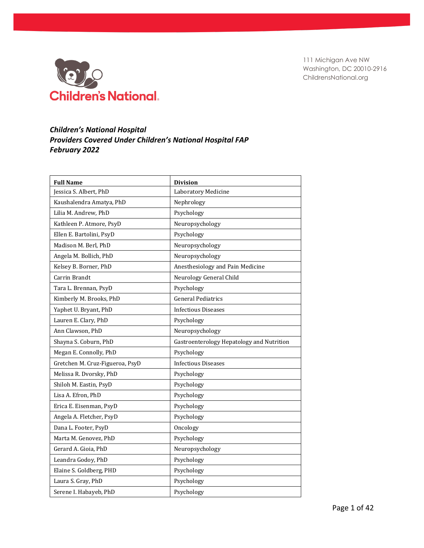

## *Children's National Hospital Providers Covered Under Children's National Hospital FAP February 2022*

| <b>Full Name</b>                | <b>Division</b>                           |
|---------------------------------|-------------------------------------------|
| Jessica S. Albert, PhD          | Laboratory Medicine                       |
| Kaushalendra Amatya, PhD        | Nephrology                                |
| Lilia M. Andrew, PhD            | Psychology                                |
| Kathleen P. Atmore, PsyD        | Neuropsychology                           |
| Ellen E. Bartolini, PsyD        | Psychology                                |
| Madison M. Berl, PhD            | Neuropsychology                           |
| Angela M. Bollich, PhD          | Neuropsychology                           |
| Kelsey B. Borner, PhD           | Anesthesiology and Pain Medicine          |
| Carrin Brandt                   | Neurology General Child                   |
| Tara L. Brennan, PsyD           | Psychology                                |
| Kimberly M. Brooks, PhD         | <b>General Pediatrics</b>                 |
| Yaphet U. Bryant, PhD           | <b>Infectious Diseases</b>                |
| Lauren E. Clary, PhD            | Psychology                                |
| Ann Clawson, PhD                | Neuropsychology                           |
| Shayna S. Coburn, PhD           | Gastroenterology Hepatology and Nutrition |
| Megan E. Connolly, PhD          | Psychology                                |
| Gretchen M. Cruz-Figueroa, PsyD | <b>Infectious Diseases</b>                |
| Melissa R. Dvorsky, PhD         | Psychology                                |
| Shiloh M. Eastin, PsyD          | Psychology                                |
| Lisa A. Efron, PhD              | Psychology                                |
| Erica E. Eisenman, PsyD         | Psychology                                |
| Angela A. Fletcher, PsyD        | Psychology                                |
| Dana L. Footer, PsyD            | Oncology                                  |
| Marta M. Genovez, PhD           | Psychology                                |
| Gerard A. Gioia, PhD            | Neuropsychology                           |
| Leandra Godoy, PhD              | Psychology                                |
| Elaine S. Goldberg, PHD         | Psychology                                |
| Laura S. Gray, PhD              | Psychology                                |
| Serene I. Habayeb, PhD          | Psychology                                |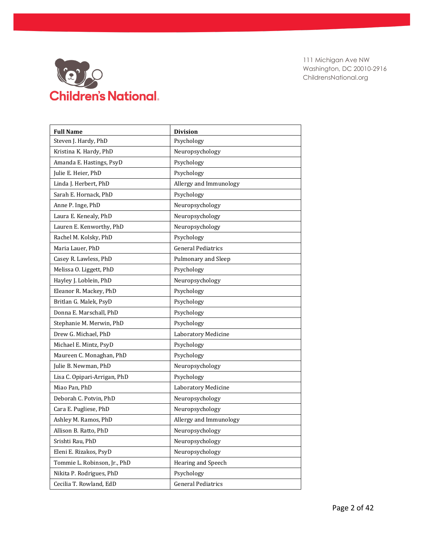

| <b>Full Name</b>             | <b>Division</b>           |
|------------------------------|---------------------------|
| Steven J. Hardy, PhD         | Psychology                |
| Kristina K. Hardy, PhD       | Neuropsychology           |
| Amanda E. Hastings, PsyD     | Psychology                |
| Julie E. Heier, PhD          | Psychology                |
| Linda J. Herbert, PhD        | Allergy and Immunology    |
| Sarah E. Hornack, PhD        | Psychology                |
| Anne P. Inge, PhD            | Neuropsychology           |
| Laura E. Kenealy, PhD        | Neuropsychology           |
| Lauren E. Kenworthy, PhD     | Neuropsychology           |
| Rachel M. Kolsky, PhD        | Psychology                |
| Maria Lauer, PhD             | <b>General Pediatrics</b> |
| Casey R. Lawless, PhD        | Pulmonary and Sleep       |
| Melissa O. Liggett, PhD      | Psychology                |
| Hayley J. Loblein, PhD       | Neuropsychology           |
| Eleanor R. Mackey, PhD       | Psychology                |
| Britlan G. Malek, PsyD       | Psychology                |
| Donna E. Marschall, PhD      | Psychology                |
| Stephanie M. Merwin, PhD     | Psychology                |
| Drew G. Michael, PhD         | Laboratory Medicine       |
| Michael E. Mintz, PsyD       | Psychology                |
| Maureen C. Monaghan, PhD     | Psychology                |
| Julie B. Newman, PhD         | Neuropsychology           |
| Lisa C. Opipari-Arrigan, PhD | Psychology                |
| Miao Pan, PhD                | Laboratory Medicine       |
| Deborah C. Potvin, PhD       | Neuropsychology           |
| Cara E. Pugliese, PhD        | Neuropsychology           |
| Ashley M. Ramos, PhD         | Allergy and Immunology    |
| Allison B. Ratto, PhD        | Neuropsychology           |
| Srishti Rau, PhD             | Neuropsychology           |
| Eleni E. Rizakos, PsyD       | Neuropsychology           |
| Tommie L. Robinson, Jr., PhD | Hearing and Speech        |
| Nikita P. Rodrigues, PhD     | Psychology                |
| Cecilia T. Rowland, EdD      | <b>General Pediatrics</b> |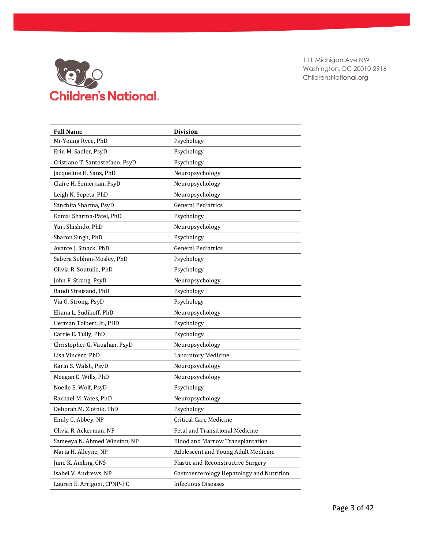

| <b>Full Name</b>                | <b>Division</b>                           |
|---------------------------------|-------------------------------------------|
| Mi-Young Ryee, PhD              | Psychology                                |
| Erin M. Sadler, PsyD            | Psychology                                |
| Cristiano T. Santostefano, PsyD | Psychology                                |
| Jacqueline H. Sanz, PhD         | Neuropsychology                           |
| Claire H. Semerjian, PsyD       | Neuropsychology                           |
| Leigh N. Sepeta, PhD            | Neuropsychology                           |
| Sanchita Sharma, PsyD           | <b>General Pediatrics</b>                 |
| Komal Sharma-Patel, PhD         | Psychology                                |
| Yuri Shishido, PhD              | Neuropsychology                           |
| Sharon Singh, PhD               | Psychology                                |
| Avante J. Smack, PhD            | <b>General Pediatrics</b>                 |
| Sabera Sobhan-Mosley, PhD       | Psychology                                |
| Olivia R. Soutullo, PhD         | Psychology                                |
| John F. Strang, PsyD            | Neuropsychology                           |
| Randi Streisand, PhD            | Psychology                                |
| Via O. Strong, PsyD             | Psychology                                |
| Eliana L. Sudikoff, PhD         | Neuropsychology                           |
| Herman Tolbert, Jr., PHD        | Psychology                                |
| Carrie E. Tully, PhD            | Psychology                                |
| Christopher G. Vaughan, PsyD    | Neuropsychology                           |
| Lisa Vincent, PhD               | Laboratory Medicine                       |
| Karin S. Walsh, PsyD            | Neuropsychology                           |
| Meagan C. Wills, PhD            | Neuropsychology                           |
| Noelle E. Wolf, PsyD            | Psychology                                |
| Rachael M. Yates, PhD           | Neuropsychology                           |
| Deborah M. Zlotnik, PhD         | Psychology                                |
| Emily C. Abbey, NP              | <b>Critical Care Medicine</b>             |
| Olivia R. Ackerman, NP          | Fetal and Transitional Medicine           |
| Sameeya N. Ahmed Winston, NP    | Blood and Marrow Transplantation          |
| Maria H. Alleyne, NP            | Adolescent and Young Adult Medicine       |
| June K. Amling, CNS             | Plastic and Reconstructive Surgery        |
| Isabel V. Andrews, NP           | Gastroenterology Hepatology and Nutrition |
| Lauren E. Arrigoni, CPNP-PC     | <b>Infectious Diseases</b>                |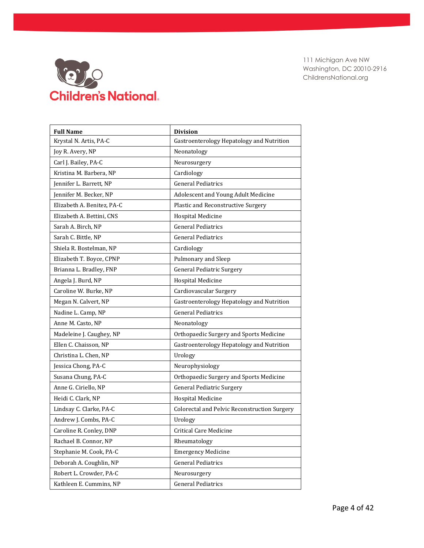

| <b>Full Name</b>           | <b>Division</b>                                     |
|----------------------------|-----------------------------------------------------|
| Krystal N. Artis, PA-C     | Gastroenterology Hepatology and Nutrition           |
| Joy R. Avery, NP           | Neonatology                                         |
| Carl J. Bailey, PA-C       | Neurosurgery                                        |
| Kristina M. Barbera, NP    | Cardiology                                          |
| Jennifer L. Barrett, NP    | <b>General Pediatrics</b>                           |
| Jennifer M. Becker, NP     | Adolescent and Young Adult Medicine                 |
| Elizabeth A. Benitez, PA-C | Plastic and Reconstructive Surgery                  |
| Elizabeth A. Bettini, CNS  | Hospital Medicine                                   |
| Sarah A. Birch, NP         | <b>General Pediatrics</b>                           |
| Sarah C. Bittle, NP        | <b>General Pediatrics</b>                           |
| Shiela R. Bostelman, NP    | Cardiology                                          |
| Elizabeth T. Boyce, CPNP   | Pulmonary and Sleep                                 |
| Brianna L. Bradley, FNP    | <b>General Pediatric Surgery</b>                    |
| Angela J. Burd, NP         | <b>Hospital Medicine</b>                            |
| Caroline W. Burke, NP      | Cardiovascular Surgery                              |
| Megan N. Calvert, NP       | Gastroenterology Hepatology and Nutrition           |
| Nadine L. Camp, NP         | <b>General Pediatrics</b>                           |
| Anne M. Casto, NP          | Neonatology                                         |
| Madeleine J. Caughey, NP   | Orthopaedic Surgery and Sports Medicine             |
| Ellen C. Chaisson, NP      | Gastroenterology Hepatology and Nutrition           |
| Christina L. Chen, NP      | Urology                                             |
| Jessica Chong, PA-C        | Neurophysiology                                     |
| Susana Chung, PA-C         | Orthopaedic Surgery and Sports Medicine             |
| Anne G. Ciriello, NP       | <b>General Pediatric Surgery</b>                    |
| Heidi C. Clark, NP         | <b>Hospital Medicine</b>                            |
| Lindsay C. Clarke, PA-C    | <b>Colorectal and Pelvic Reconstruction Surgery</b> |
| Andrew J. Combs, PA-C      | Urology                                             |
| Caroline R. Conley, DNP    | <b>Critical Care Medicine</b>                       |
| Rachael B. Connor, NP      | Rheumatology                                        |
| Stephanie M. Cook, PA-C    | <b>Emergency Medicine</b>                           |
| Deborah A. Coughlin, NP    | <b>General Pediatrics</b>                           |
| Robert L. Crowder, PA-C    | Neurosurgery                                        |
| Kathleen E. Cummins, NP    | <b>General Pediatrics</b>                           |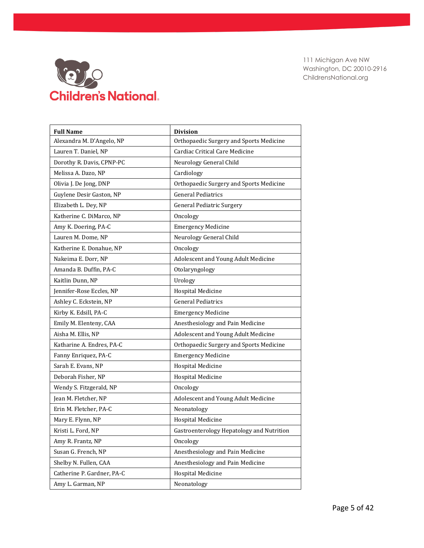

| <b>Full Name</b>           | <b>Division</b>                           |
|----------------------------|-------------------------------------------|
| Alexandra M. D'Angelo, NP  | Orthopaedic Surgery and Sports Medicine   |
| Lauren T. Daniel, NP       | Cardiac Critical Care Medicine            |
| Dorothy R. Davis, CPNP-PC  | Neurology General Child                   |
| Melissa A. Dazo, NP        | Cardiology                                |
| Olivia J. De Jong, DNP     | Orthopaedic Surgery and Sports Medicine   |
| Guylene Desir Gaston, NP   | <b>General Pediatrics</b>                 |
| Elizabeth L. Dey, NP       | <b>General Pediatric Surgery</b>          |
| Katherine C. DiMarco, NP   | Oncology                                  |
| Amy K. Doering, PA-C       | <b>Emergency Medicine</b>                 |
| Lauren M. Dome, NP         | Neurology General Child                   |
| Katherine E. Donahue, NP   | Oncology                                  |
| Nakeima E. Dorr, NP        | Adolescent and Young Adult Medicine       |
| Amanda B. Duffin, PA-C     | Otolaryngology                            |
| Kaitlin Dunn, NP           | Urology                                   |
| Jennifer-Rose Eccles, NP   | <b>Hospital Medicine</b>                  |
| Ashley C. Eckstein, NP     | <b>General Pediatrics</b>                 |
| Kirby K. Edsill, PA-C      | <b>Emergency Medicine</b>                 |
| Emily M. Elenteny, CAA     | Anesthesiology and Pain Medicine          |
| Aisha M. Ellis, NP         | Adolescent and Young Adult Medicine       |
| Katharine A. Endres, PA-C  | Orthopaedic Surgery and Sports Medicine   |
| Fanny Enriquez, PA-C       | <b>Emergency Medicine</b>                 |
| Sarah E. Evans, NP         | <b>Hospital Medicine</b>                  |
| Deborah Fisher, NP         | <b>Hospital Medicine</b>                  |
| Wendy S. Fitzgerald, NP    | Oncology                                  |
| Jean M. Fletcher, NP       | Adolescent and Young Adult Medicine       |
| Erin M. Fletcher, PA-C     | Neonatology                               |
| Mary E. Flynn, NP          | Hospital Medicine                         |
| Kristi L. Ford, NP         | Gastroenterology Hepatology and Nutrition |
| Amy R. Frantz, NP          | Oncology                                  |
| Susan G. French, NP        | Anesthesiology and Pain Medicine          |
| Shelby N. Fullen, CAA      | Anesthesiology and Pain Medicine          |
| Catherine P. Gardner, PA-C | Hospital Medicine                         |
| Amy L. Garman, NP          | Neonatology                               |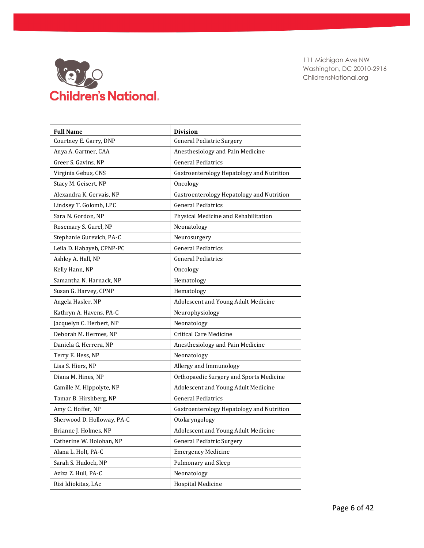

| <b>Full Name</b>           | <b>Division</b>                           |
|----------------------------|-------------------------------------------|
| Courtney E. Garry, DNP     | <b>General Pediatric Surgery</b>          |
| Anya A. Gartner, CAA       | Anesthesiology and Pain Medicine          |
| Greer S. Gavins, NP        | <b>General Pediatrics</b>                 |
| Virginia Gebus, CNS        | Gastroenterology Hepatology and Nutrition |
| Stacy M. Geisert, NP       | Oncology                                  |
| Alexandra K. Gervais, NP   | Gastroenterology Hepatology and Nutrition |
| Lindsey T. Golomb, LPC     | <b>General Pediatrics</b>                 |
| Sara N. Gordon, NP         | Physical Medicine and Rehabilitation      |
| Rosemary S. Gurel, NP      | Neonatology                               |
| Stephanie Gurevich, PA-C   | Neurosurgery                              |
| Leila D. Habayeb, CPNP-PC  | <b>General Pediatrics</b>                 |
| Ashley A. Hall, NP         | <b>General Pediatrics</b>                 |
| Kelly Hann, NP             | Oncology                                  |
| Samantha N. Harnack, NP    | Hematology                                |
| Susan G. Harvey, CPNP      | Hematology                                |
| Angela Hasler, NP          | Adolescent and Young Adult Medicine       |
| Kathryn A. Havens, PA-C    | Neurophysiology                           |
| Jacquelyn C. Herbert, NP   | Neonatology                               |
| Deborah M. Hermes, NP      | <b>Critical Care Medicine</b>             |
| Daniela G. Herrera, NP     | Anesthesiology and Pain Medicine          |
| Terry E. Hess, NP          | Neonatology                               |
| Lisa S. Hiers, NP          | Allergy and Immunology                    |
| Diana M. Hines, NP         | Orthopaedic Surgery and Sports Medicine   |
| Camille M. Hippolyte, NP   | Adolescent and Young Adult Medicine       |
| Tamar B. Hirshberg, NP     | <b>General Pediatrics</b>                 |
| Amy C. Hoffer, NP          | Gastroenterology Hepatology and Nutrition |
| Sherwood D. Holloway, PA-C | Otolaryngology                            |
| Brianne J. Holmes, NP      | Adolescent and Young Adult Medicine       |
| Catherine W. Holohan, NP   | <b>General Pediatric Surgery</b>          |
| Alana L. Holt, PA-C        | <b>Emergency Medicine</b>                 |
| Sarah S. Hudock, NP        | Pulmonary and Sleep                       |
| Aziza Z. Hull, PA-C        | Neonatology                               |
| Risi Idiokitas, LAc        | <b>Hospital Medicine</b>                  |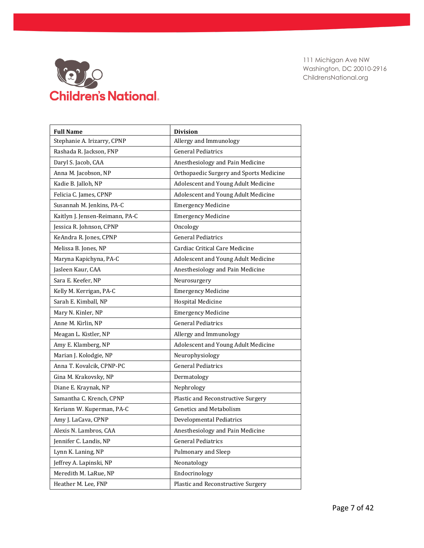

| <b>Full Name</b>                | <b>Division</b>                         |
|---------------------------------|-----------------------------------------|
| Stephanie A. Irizarry, CPNP     | Allergy and Immunology                  |
| Rashada R. Jackson, FNP         | <b>General Pediatrics</b>               |
| Daryl S. Jacob, CAA             | Anesthesiology and Pain Medicine        |
| Anna M. Jacobson, NP            | Orthopaedic Surgery and Sports Medicine |
| Kadie B. Jalloh, NP             | Adolescent and Young Adult Medicine     |
| Felicia C. James, CPNP          | Adolescent and Young Adult Medicine     |
| Susannah M. Jenkins, PA-C       | <b>Emergency Medicine</b>               |
| Kaitlyn J. Jensen-Reimann, PA-C | <b>Emergency Medicine</b>               |
| Jessica R. Johnson, CPNP        | Oncology                                |
| KeAndra R. Jones, CPNP          | <b>General Pediatrics</b>               |
| Melissa B. Jones, NP            | Cardiac Critical Care Medicine          |
| Maryna Kapichyna, PA-C          | Adolescent and Young Adult Medicine     |
| Jasleen Kaur, CAA               | Anesthesiology and Pain Medicine        |
| Sara E. Keefer, NP              | Neurosurgery                            |
| Kelly M. Kerrigan, PA-C         | <b>Emergency Medicine</b>               |
| Sarah E. Kimball, NP            | <b>Hospital Medicine</b>                |
| Mary N. Kinler, NP              | <b>Emergency Medicine</b>               |
| Anne M. Kirlin, NP              | <b>General Pediatrics</b>               |
| Meagan L. Kistler, NP           | Allergy and Immunology                  |
| Amy E. Klamberg, NP             | Adolescent and Young Adult Medicine     |
| Marian J. Kolodgie, NP          | Neurophysiology                         |
| Anna T. Kovalcik, CPNP-PC       | <b>General Pediatrics</b>               |
| Gina M. Krakovsky, NP           | Dermatology                             |
| Diane E. Kraynak, NP            | Nephrology                              |
| Samantha C. Krench, CPNP        | Plastic and Reconstructive Surgery      |
| Keriann W. Kuperman, PA-C       | <b>Genetics and Metabolism</b>          |
| Amy J. LaCava, CPNP             | <b>Developmental Pediatrics</b>         |
| Alexis N. Lambros, CAA          | Anesthesiology and Pain Medicine        |
| Jennifer C. Landis, NP          | <b>General Pediatrics</b>               |
| Lynn K. Laning, NP              | Pulmonary and Sleep                     |
| Jeffrey A. Lapinski, NP         | Neonatology                             |
| Meredith M. LaRue, NP           | Endocrinology                           |
| Heather M. Lee, FNP             | Plastic and Reconstructive Surgery      |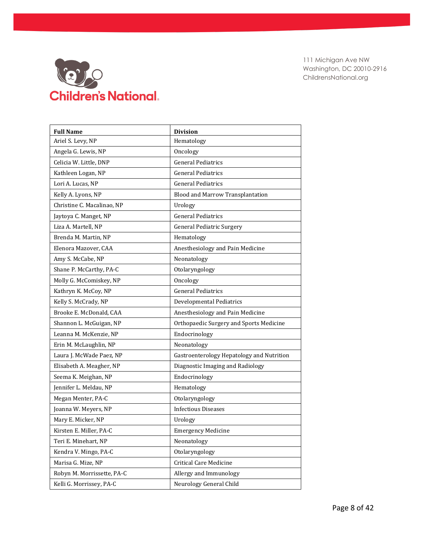

| <b>Full Name</b>           | <b>Division</b>                           |
|----------------------------|-------------------------------------------|
| Ariel S. Levy, NP          | Hematology                                |
| Angela G. Lewis, NP        | Oncology                                  |
| Celicia W. Little, DNP     | <b>General Pediatrics</b>                 |
| Kathleen Logan, NP         | <b>General Pediatrics</b>                 |
| Lori A. Lucas, NP          | <b>General Pediatrics</b>                 |
| Kelly A. Lyons, NP         | Blood and Marrow Transplantation          |
| Christine C. Macalinao, NP | Urology                                   |
| Jaytoya C. Manget, NP      | <b>General Pediatrics</b>                 |
| Liza A. Martell, NP        | <b>General Pediatric Surgery</b>          |
| Brenda M. Martin, NP       | Hematology                                |
| Elenora Mazover, CAA       | Anesthesiology and Pain Medicine          |
| Amy S. McCabe, NP          | Neonatology                               |
| Shane P. McCarthy, PA-C    | Otolaryngology                            |
| Molly G. McComiskey, NP    | Oncology                                  |
| Kathryn K. McCoy, NP       | <b>General Pediatrics</b>                 |
| Kelly S. McCrady, NP       | <b>Developmental Pediatrics</b>           |
| Brooke E. McDonald, CAA    | Anesthesiology and Pain Medicine          |
| Shannon L. McGuigan, NP    | Orthopaedic Surgery and Sports Medicine   |
| Leanna M. McKenzie, NP     | Endocrinology                             |
| Erin M. McLaughlin, NP     | Neonatology                               |
| Laura J. McWade Paez, NP   | Gastroenterology Hepatology and Nutrition |
| Elisabeth A. Meagher, NP   | Diagnostic Imaging and Radiology          |
| Seema K. Meighan, NP       | Endocrinology                             |
| Jennifer L. Meldau, NP     | Hematology                                |
| Megan Menter, PA-C         | Otolaryngology                            |
| Joanna W. Meyers, NP       | <b>Infectious Diseases</b>                |
| Mary E. Micker, NP         | Urology                                   |
| Kirsten E. Miller, PA-C    | <b>Emergency Medicine</b>                 |
| Teri E. Minehart, NP       | Neonatology                               |
| Kendra V. Mingo, PA-C      | Otolaryngology                            |
| Marisa G. Mize, NP         | <b>Critical Care Medicine</b>             |
| Robyn M. Morrissette, PA-C | Allergy and Immunology                    |
| Kelli G. Morrissey, PA-C   | Neurology General Child                   |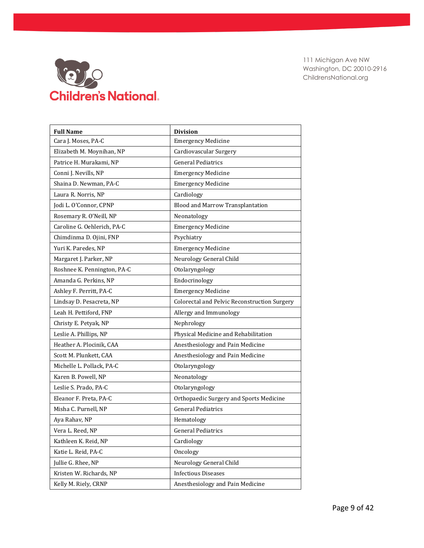

| <b>Full Name</b>            | <b>Division</b>                              |
|-----------------------------|----------------------------------------------|
| Cara J. Moses, PA-C         | <b>Emergency Medicine</b>                    |
| Elizabeth M. Moynihan, NP   | Cardiovascular Surgery                       |
| Patrice H. Murakami, NP     | <b>General Pediatrics</b>                    |
| Conni J. Nevills, NP        | <b>Emergency Medicine</b>                    |
| Shaina D. Newman, PA-C      | <b>Emergency Medicine</b>                    |
| Laura R. Norris, NP         | Cardiology                                   |
| Jodi L. O'Connor, CPNP      | Blood and Marrow Transplantation             |
| Rosemary R. O'Neill, NP     | Neonatology                                  |
| Caroline G. Oehlerich, PA-C | <b>Emergency Medicine</b>                    |
| Chimdinma D. Ojini, FNP     | Psychiatry                                   |
| Yuri K. Paredes, NP         | <b>Emergency Medicine</b>                    |
| Margaret J. Parker, NP      | Neurology General Child                      |
| Roshnee K. Pennington, PA-C | Otolaryngology                               |
| Amanda G. Perkins, NP       | Endocrinology                                |
| Ashley F. Perritt, PA-C     | <b>Emergency Medicine</b>                    |
| Lindsay D. Pesacreta, NP    | Colorectal and Pelvic Reconstruction Surgery |
| Leah H. Pettiford, FNP      | Allergy and Immunology                       |
| Christy E. Petyak, NP       | Nephrology                                   |
| Leslie A. Phillips, NP      | Physical Medicine and Rehabilitation         |
| Heather A. Plocinik, CAA    | Anesthesiology and Pain Medicine             |
| Scott M. Plunkett, CAA      | Anesthesiology and Pain Medicine             |
| Michelle L. Pollack, PA-C   | Otolaryngology                               |
| Karen B. Powell, NP         | Neonatology                                  |
| Leslie S. Prado, PA-C       | Otolaryngology                               |
| Eleanor F. Preta, PA-C      | Orthopaedic Surgery and Sports Medicine      |
| Misha C. Purnell, NP        | <b>General Pediatrics</b>                    |
| Aya Rahav, NP               | Hematology                                   |
| Vera L. Reed, NP            | <b>General Pediatrics</b>                    |
| Kathleen K. Reid, NP        | Cardiology                                   |
| Katie L. Reid, PA-C         | Oncology                                     |
| Jullie G. Rhee, NP          | Neurology General Child                      |
| Kristen W. Richards, NP     | <b>Infectious Diseases</b>                   |
| Kelly M. Riely, CRNP        | Anesthesiology and Pain Medicine             |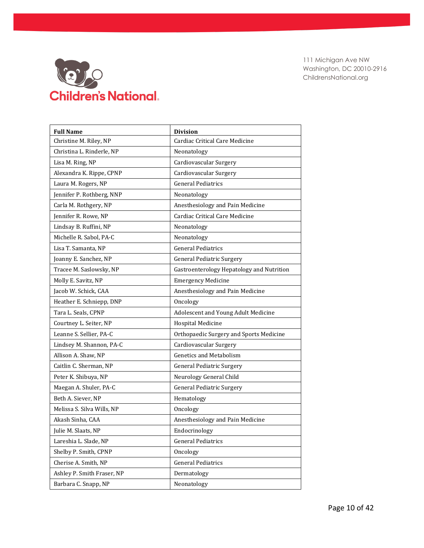

| <b>Full Name</b>           | <b>Division</b>                           |
|----------------------------|-------------------------------------------|
| Christine M. Riley, NP     | Cardiac Critical Care Medicine            |
| Christina L. Rinderle, NP  | Neonatology                               |
| Lisa M. Ring, NP           | Cardiovascular Surgery                    |
| Alexandra K. Rippe, CPNP   | Cardiovascular Surgery                    |
| Laura M. Rogers, NP        | <b>General Pediatrics</b>                 |
| Jennifer P. Rothberg, NNP  | Neonatology                               |
| Carla M. Rothgery, NP      | Anesthesiology and Pain Medicine          |
| Jennifer R. Rowe, NP       | Cardiac Critical Care Medicine            |
| Lindsay B. Ruffini, NP     | Neonatology                               |
| Michelle R. Sabol, PA-C    | Neonatology                               |
| Lisa T. Samanta, NP        | <b>General Pediatrics</b>                 |
| Joanny E. Sanchez, NP      | <b>General Pediatric Surgery</b>          |
| Tracee M. Saslowsky, NP    | Gastroenterology Hepatology and Nutrition |
| Molly E. Savitz, NP        | <b>Emergency Medicine</b>                 |
| Jacob W. Schick, CAA       | Anesthesiology and Pain Medicine          |
| Heather E. Schniepp, DNP   | Oncology                                  |
| Tara L. Seals, CPNP        | Adolescent and Young Adult Medicine       |
| Courtney L. Seiter, NP     | <b>Hospital Medicine</b>                  |
| Leanne S. Sellier, PA-C    | Orthopaedic Surgery and Sports Medicine   |
| Lindsey M. Shannon, PA-C   | Cardiovascular Surgery                    |
| Allison A. Shaw, NP        | <b>Genetics and Metabolism</b>            |
| Caitlin C. Sherman, NP     | <b>General Pediatric Surgery</b>          |
| Peter K. Shibuya, NP       | Neurology General Child                   |
| Maegan A. Shuler, PA-C     | <b>General Pediatric Surgery</b>          |
| Beth A. Siever, NP         | Hematology                                |
| Melissa S. Silva Wills, NP | Oncology                                  |
| Akash Sinha, CAA           | Anesthesiology and Pain Medicine          |
| Julie M. Slaats, NP        | Endocrinology                             |
| Lareshia L. Slade, NP      | <b>General Pediatrics</b>                 |
| Shelby P. Smith, CPNP      | Oncology                                  |
| Cherise A. Smith, NP       | <b>General Pediatrics</b>                 |
| Ashley P. Smith Fraser, NP | Dermatology                               |
| Barbara C. Snapp, NP       | Neonatology                               |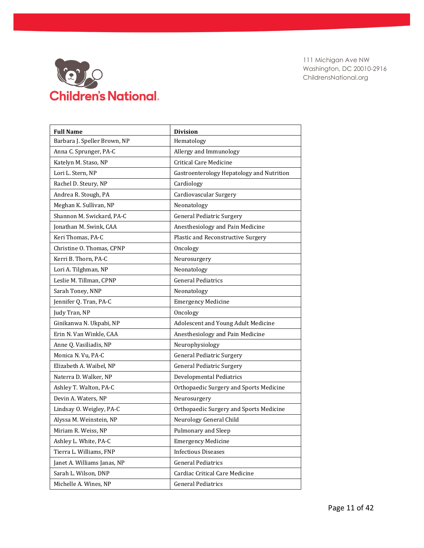

| <b>Full Name</b>             | <b>Division</b>                           |
|------------------------------|-------------------------------------------|
| Barbara J. Speller Brown, NP | Hematology                                |
| Anna C. Sprunger, PA-C       | Allergy and Immunology                    |
| Katelyn M. Staso, NP         | <b>Critical Care Medicine</b>             |
| Lori L. Stern, NP            | Gastroenterology Hepatology and Nutrition |
| Rachel D. Steury, NP         | Cardiology                                |
| Andrea R. Stough, PA         | Cardiovascular Surgery                    |
| Meghan K. Sullivan, NP       | Neonatology                               |
| Shannon M. Swickard, PA-C    | <b>General Pediatric Surgery</b>          |
| Jonathan M. Swink, CAA       | Anesthesiology and Pain Medicine          |
| Keri Thomas, PA-C            | Plastic and Reconstructive Surgery        |
| Christine O. Thomas, CPNP    | Oncology                                  |
| Kerri B. Thorn, PA-C         | Neurosurgery                              |
| Lori A. Tilghman, NP         | Neonatology                               |
| Leslie M. Tillman, CPNP      | <b>General Pediatrics</b>                 |
| Sarah Toney, NNP             | Neonatology                               |
| Jennifer Q. Tran, PA-C       | <b>Emergency Medicine</b>                 |
| Judy Tran, NP                | Oncology                                  |
| Ginikanwa N. Ukpabi, NP      | Adolescent and Young Adult Medicine       |
| Erin N. Van Winkle, CAA      | Anesthesiology and Pain Medicine          |
| Anne Q. Vasiliadis, NP       | Neurophysiology                           |
| Monica N. Vu, PA-C           | <b>General Pediatric Surgery</b>          |
| Elizabeth A. Waibel, NP      | <b>General Pediatric Surgery</b>          |
| Naterra D. Walker, NP        | <b>Developmental Pediatrics</b>           |
| Ashley T. Walton, PA-C       | Orthopaedic Surgery and Sports Medicine   |
| Devin A. Waters, NP          | Neurosurgery                              |
| Lindsay O. Weigley, PA-C     | Orthopaedic Surgery and Sports Medicine   |
| Alyssa M. Weinstein, NP      | Neurology General Child                   |
| Miriam R. Weiss, NP          | Pulmonary and Sleep                       |
| Ashley L. White, PA-C        | <b>Emergency Medicine</b>                 |
| Tierra L. Williams, FNP      | <b>Infectious Diseases</b>                |
| Janet A. Williams Janas, NP  | <b>General Pediatrics</b>                 |
| Sarah L. Wilson, DNP         | Cardiac Critical Care Medicine            |
| Michelle A. Wines, NP        | <b>General Pediatrics</b>                 |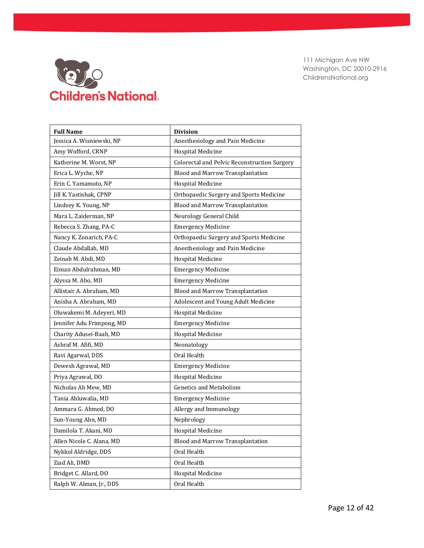

| <b>Full Name</b>          | <b>Division</b>                              |
|---------------------------|----------------------------------------------|
| Jessica A. Wisniewski, NP | Anesthesiology and Pain Medicine             |
| Amy Wofford, CRNP         | <b>Hospital Medicine</b>                     |
| Katherine M. Worst, NP    | Colorectal and Pelvic Reconstruction Surgery |
| Erica L. Wyche, NP        | Blood and Marrow Transplantation             |
| Erin C. Yamamoto, NP      | <b>Hospital Medicine</b>                     |
| Jill K. Yastishak, CPNP   | Orthopaedic Surgery and Sports Medicine      |
| Lindsey K. Young, NP      | Blood and Marrow Transplantation             |
| Mara L. Zaiderman, NP     | Neurology General Child                      |
| Rebecca S. Zhang, PA-C    | <b>Emergency Medicine</b>                    |
| Nancy K. Zonarich, PA-C   | Orthopaedic Surgery and Sports Medicine      |
| Claude Abdallah, MD       | Anesthesiology and Pain Medicine             |
| Zeinab M. Abdi, MD        | <b>Hospital Medicine</b>                     |
| Eiman Abdulrahman, MD     | <b>Emergency Medicine</b>                    |
| Alyssa M. Abo, MD         | <b>Emergency Medicine</b>                    |
| Allistair A. Abraham, MD  | Blood and Marrow Transplantation             |
| Anisha A. Abraham, MD     | Adolescent and Young Adult Medicine          |
| Oluwakemi M. Adeyeri, MD  | <b>Hospital Medicine</b>                     |
| Jennifer Adu Frimpong, MD | <b>Emergency Medicine</b>                    |
| Charity Adusei-Baah, MD   | <b>Hospital Medicine</b>                     |
| Ashraf M. Afifi, MD       | Neonatology                                  |
| Ravi Agarwal, DDS         | Oral Health                                  |
| Dewesh Agrawal, MD        | <b>Emergency Medicine</b>                    |
| Priya Agrawal, DO         | <b>Hospital Medicine</b>                     |
| Nicholas Ah Mew, MD       | <b>Genetics and Metabolism</b>               |
| Tania Ahluwalia, MD       | <b>Emergency Medicine</b>                    |
| Ammara G. Ahmed, DO       | Allergy and Immunology                       |
| Sun-Young Ahn, MD         | Nephrology                                   |
| Damilola T. Akani, MD     | Hospital Medicine                            |
| Allen Nicole C. Alana, MD | Blood and Marrow Transplantation             |
| Nykkol Aldridge, DDS      | Oral Health                                  |
| Ziad Ali, DMD             | Oral Health                                  |
| Bridget C. Allard, DO     | Hospital Medicine                            |
| Ralph W. Alman, Jr., DDS  | Oral Health                                  |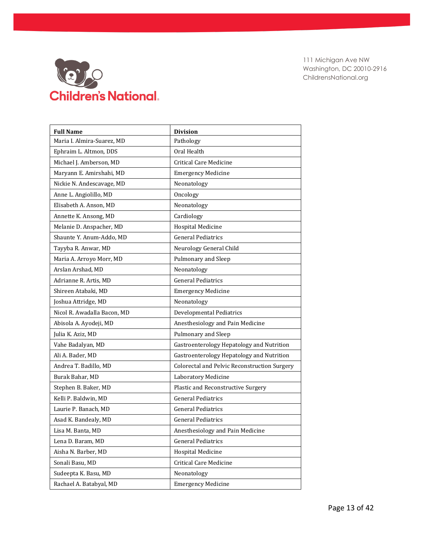

| <b>Full Name</b>            | <b>Division</b>                              |
|-----------------------------|----------------------------------------------|
| Maria I. Almira-Suarez, MD  | Pathology                                    |
| Ephraim L. Altmon, DDS      | Oral Health                                  |
| Michael J. Amberson, MD     | Critical Care Medicine                       |
| Maryann E. Amirshahi, MD    | <b>Emergency Medicine</b>                    |
| Nickie N. Andescavage, MD   | Neonatology                                  |
| Anne L. Angiolillo, MD      | Oncology                                     |
| Elisabeth A. Anson, MD      | Neonatology                                  |
| Annette K. Ansong, MD       | Cardiology                                   |
| Melanie D. Anspacher, MD    | <b>Hospital Medicine</b>                     |
| Shaunte Y. Anum-Addo, MD    | <b>General Pediatrics</b>                    |
| Tayyba R. Anwar, MD         | Neurology General Child                      |
| Maria A. Arroyo Morr, MD    | Pulmonary and Sleep                          |
| Arslan Arshad, MD           | Neonatology                                  |
| Adrianne R. Artis, MD       | <b>General Pediatrics</b>                    |
| Shireen Atabaki, MD         | <b>Emergency Medicine</b>                    |
| Joshua Attridge, MD         | Neonatology                                  |
| Nicol R. Awadalla Bacon, MD | <b>Developmental Pediatrics</b>              |
| Abisola A. Ayodeji, MD      | Anesthesiology and Pain Medicine             |
| Julia K. Aziz, MD           | Pulmonary and Sleep                          |
| Vahe Badalyan, MD           | Gastroenterology Hepatology and Nutrition    |
| Ali A. Bader, MD            | Gastroenterology Hepatology and Nutrition    |
| Andrea T. Badillo, MD       | Colorectal and Pelvic Reconstruction Surgery |
| Burak Bahar, MD             | Laboratory Medicine                          |
| Stephen B. Baker, MD        | Plastic and Reconstructive Surgery           |
| Kelli P. Baldwin, MD        | <b>General Pediatrics</b>                    |
| Laurie P. Banach, MD        | <b>General Pediatrics</b>                    |
| Asad K. Bandealy, MD        | <b>General Pediatrics</b>                    |
| Lisa M. Banta, MD           | Anesthesiology and Pain Medicine             |
| Lena D. Baram, MD           | <b>General Pediatrics</b>                    |
| Aisha N. Barber, MD         | Hospital Medicine                            |
| Sonali Basu, MD             | Critical Care Medicine                       |
| Sudeepta K. Basu, MD        | Neonatology                                  |
| Rachael A. Batabyal, MD     | <b>Emergency Medicine</b>                    |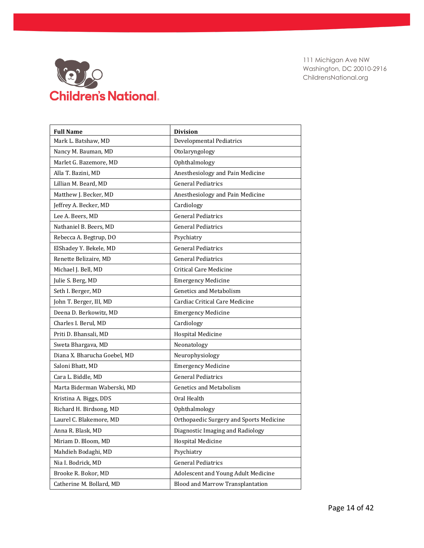

| <b>Full Name</b>             | <b>Division</b>                         |
|------------------------------|-----------------------------------------|
| Mark L. Batshaw, MD          | <b>Developmental Pediatrics</b>         |
| Nancy M. Bauman, MD          | Otolaryngology                          |
| Marlet G. Bazemore, MD       | Ophthalmology                           |
| Alla T. Bazini, MD           | Anesthesiology and Pain Medicine        |
| Lillian M. Beard, MD         | <b>General Pediatrics</b>               |
| Matthew J. Becker, MD        | Anesthesiology and Pain Medicine        |
| Jeffrey A. Becker, MD        | Cardiology                              |
| Lee A. Beers, MD             | <b>General Pediatrics</b>               |
| Nathaniel B. Beers, MD       | <b>General Pediatrics</b>               |
| Rebecca A. Begtrup, DO       | Psychiatry                              |
| ElShadey Y. Bekele, MD       | <b>General Pediatrics</b>               |
| Renette Belizaire, MD        | <b>General Pediatrics</b>               |
| Michael J. Bell, MD          | <b>Critical Care Medicine</b>           |
| Julie S. Berg, MD            | <b>Emergency Medicine</b>               |
| Seth I. Berger, MD           | <b>Genetics and Metabolism</b>          |
| John T. Berger, III, MD      | Cardiac Critical Care Medicine          |
| Deena D. Berkowitz, MD       | <b>Emergency Medicine</b>               |
| Charles I. Berul, MD         | Cardiology                              |
| Priti D. Bhansali, MD        | <b>Hospital Medicine</b>                |
| Sweta Bhargava, MD           | Neonatology                             |
| Diana X. Bharucha Goebel, MD | Neurophysiology                         |
| Saloni Bhatt, MD             | <b>Emergency Medicine</b>               |
| Cara L. Biddle, MD           | <b>General Pediatrics</b>               |
| Marta Biderman Waberski, MD  | <b>Genetics and Metabolism</b>          |
| Kristina A. Biggs, DDS       | Oral Health                             |
| Richard H. Birdsong, MD      | Ophthalmology                           |
| Laurel C. Blakemore, MD      | Orthopaedic Surgery and Sports Medicine |
| Anna R. Blask, MD            | Diagnostic Imaging and Radiology        |
| Miriam D. Bloom, MD          | <b>Hospital Medicine</b>                |
| Mahdieh Bodaghi, MD          | Psychiatry                              |
| Nia I. Bodrick, MD           | <b>General Pediatrics</b>               |
| Brooke R. Bokor, MD          | Adolescent and Young Adult Medicine     |
| Catherine M. Bollard, MD     | Blood and Marrow Transplantation        |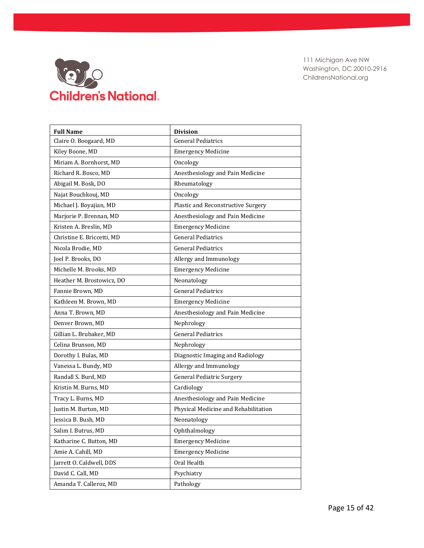

| <b>Full Name</b>           | <b>Division</b>                      |
|----------------------------|--------------------------------------|
| Claire O. Boogaard, MD     | <b>General Pediatrics</b>            |
| Kiley Boone, MD            | <b>Emergency Medicine</b>            |
| Miriam A. Bornhorst, MD    | Oncology                             |
| Richard R. Bosco, MD       | Anesthesiology and Pain Medicine     |
| Abigail M. Bosk, DO        | Rheumatology                         |
| Najat Bouchkouj, MD        | Oncology                             |
| Michael J. Boyajian, MD    | Plastic and Reconstructive Surgery   |
| Marjorie P. Brennan, MD    | Anesthesiology and Pain Medicine     |
| Kristen A. Breslin, MD     | <b>Emergency Medicine</b>            |
| Christine E. Briccetti, MD | <b>General Pediatrics</b>            |
| Nicola Brodie, MD          | <b>General Pediatrics</b>            |
| Joel P. Brooks, DO         | Allergy and Immunology               |
| Michelle M. Brooks, MD     | <b>Emergency Medicine</b>            |
| Heather M. Brostowicz, DO  | Neonatology                          |
| Fannie Brown, MD           | <b>General Pediatrics</b>            |
| Kathleen M. Brown, MD      | <b>Emergency Medicine</b>            |
| Anna T. Brown, MD          | Anesthesiology and Pain Medicine     |
| Denver Brown, MD           | Nephrology                           |
| Gillian L. Brubaker, MD    | <b>General Pediatrics</b>            |
| Celina Brunson, MD         | Nephrology                           |
| Dorothy I. Bulas, MD       | Diagnostic Imaging and Radiology     |
| Vanessa L. Bundy, MD       | Allergy and Immunology               |
| Randall S. Burd, MD        | <b>General Pediatric Surgery</b>     |
| Kristin M. Burns, MD       | Cardiology                           |
| Tracy L. Burns, MD         | Anesthesiology and Pain Medicine     |
| Justin M. Burton, MD       | Physical Medicine and Rehabilitation |
| Jessica B. Bush, MD        | Neonatology                          |
| Salim I. Butrus, MD        | Ophthalmology                        |
| Katharine C. Button, MD    | <b>Emergency Medicine</b>            |
| Amie A. Cahill, MD         | <b>Emergency Medicine</b>            |
| Jarrett O. Caldwell, DDS   | Oral Health                          |
| David C. Call, MD          | Psychiatry                           |
| Amanda T. Calleroz, MD     | Pathology                            |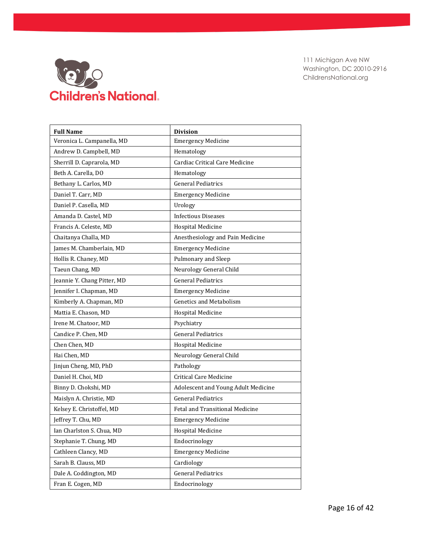

| <b>Full Name</b>            | <b>Division</b>                     |
|-----------------------------|-------------------------------------|
| Veronica L. Campanella, MD  | <b>Emergency Medicine</b>           |
| Andrew D. Campbell, MD      | Hematology                          |
| Sherrill D. Caprarola, MD   | Cardiac Critical Care Medicine      |
| Beth A. Carella, DO         | Hematology                          |
| Bethany L. Carlos, MD       | <b>General Pediatrics</b>           |
| Daniel T. Carr, MD          | <b>Emergency Medicine</b>           |
| Daniel P. Casella, MD       | Urology                             |
| Amanda D. Castel, MD        | <b>Infectious Diseases</b>          |
| Francis A. Celeste, MD      | <b>Hospital Medicine</b>            |
| Chaitanya Challa, MD        | Anesthesiology and Pain Medicine    |
| James M. Chamberlain, MD    | <b>Emergency Medicine</b>           |
| Hollis R. Chaney, MD        | Pulmonary and Sleep                 |
| Taeun Chang, MD             | Neurology General Child             |
| Jeannie Y. Chang Pitter, MD | <b>General Pediatrics</b>           |
| Jennifer I. Chapman, MD     | <b>Emergency Medicine</b>           |
| Kimberly A. Chapman, MD     | <b>Genetics and Metabolism</b>      |
| Mattia E. Chason, MD        | <b>Hospital Medicine</b>            |
| Irene M. Chatoor, MD        | Psychiatry                          |
| Candice P. Chen, MD         | <b>General Pediatrics</b>           |
| Chen Chen, MD               | <b>Hospital Medicine</b>            |
| Hai Chen, MD                | Neurology General Child             |
| Jinjun Cheng, MD, PhD       | Pathology                           |
| Daniel H. Choi, MD          | <b>Critical Care Medicine</b>       |
| Binny D. Chokshi, MD        | Adolescent and Young Adult Medicine |
| Maislyn A. Christie, MD     | <b>General Pediatrics</b>           |
| Kelsey E. Christoffel, MD   | Fetal and Transitional Medicine     |
| Jeffrey T. Chu, MD          | <b>Emergency Medicine</b>           |
| Ian Charlston S. Chua, MD   | Hospital Medicine                   |
| Stephanie T. Chung, MD      | Endocrinology                       |
| Cathleen Clancy, MD         | <b>Emergency Medicine</b>           |
| Sarah B. Clauss, MD         | Cardiology                          |
| Dale A. Coddington, MD      | <b>General Pediatrics</b>           |
| Fran E. Cogen, MD           | Endocrinology                       |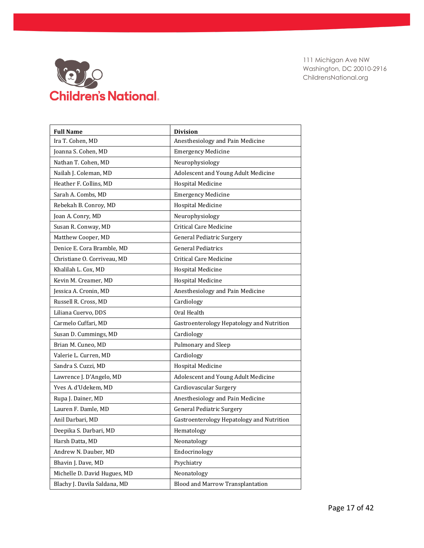

| <b>Full Name</b>             | <b>Division</b>                           |
|------------------------------|-------------------------------------------|
| Ira T. Cohen, MD             | Anesthesiology and Pain Medicine          |
| Joanna S. Cohen, MD          | <b>Emergency Medicine</b>                 |
| Nathan T. Cohen, MD          | Neurophysiology                           |
| Nailah J. Coleman, MD        | Adolescent and Young Adult Medicine       |
| Heather F. Collins, MD       | <b>Hospital Medicine</b>                  |
| Sarah A. Combs, MD           | <b>Emergency Medicine</b>                 |
| Rebekah B. Conroy, MD        | <b>Hospital Medicine</b>                  |
| Joan A. Conry, MD            | Neurophysiology                           |
| Susan R. Conway, MD          | <b>Critical Care Medicine</b>             |
| Matthew Cooper, MD           | <b>General Pediatric Surgery</b>          |
| Denice E. Cora Bramble, MD   | <b>General Pediatrics</b>                 |
| Christiane O. Corriveau, MD  | <b>Critical Care Medicine</b>             |
| Khalilah L. Cox. MD          | Hospital Medicine                         |
| Kevin M. Creamer, MD         | <b>Hospital Medicine</b>                  |
| Jessica A. Cronin, MD        | Anesthesiology and Pain Medicine          |
| Russell R. Cross, MD         | Cardiology                                |
| Liliana Cuervo, DDS          | Oral Health                               |
| Carmelo Cuffari, MD          | Gastroenterology Hepatology and Nutrition |
| Susan D. Cummings, MD        | Cardiology                                |
| Brian M. Cuneo, MD           | Pulmonary and Sleep                       |
| Valerie L. Curren, MD        | Cardiology                                |
| Sandra S. Cuzzi, MD          | <b>Hospital Medicine</b>                  |
| Lawrence J. D'Angelo, MD     | Adolescent and Young Adult Medicine       |
| Yves A. d'Udekem, MD         | Cardiovascular Surgery                    |
| Rupa J. Dainer, MD           | Anesthesiology and Pain Medicine          |
| Lauren F. Damle, MD          | General Pediatric Surgery                 |
| Anil Darbari, MD             | Gastroenterology Hepatology and Nutrition |
| Deepika S. Darbari, MD       | Hematology                                |
| Harsh Datta, MD              | Neonatology                               |
| Andrew N. Dauber, MD         | Endocrinology                             |
| Bhavin J. Dave, MD           | Psychiatry                                |
| Michelle D. David Hugues, MD | Neonatology                               |
| Blachy J. Davila Saldana, MD | Blood and Marrow Transplantation          |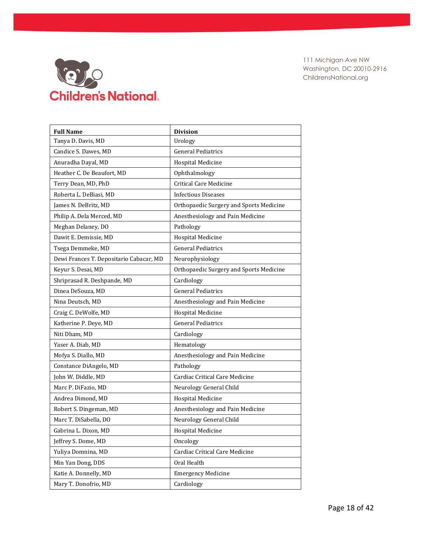

| <b>Full Name</b>                        | <b>Division</b>                         |
|-----------------------------------------|-----------------------------------------|
| Tanya D. Davis, MD                      | Urology                                 |
| Candice S. Dawes, MD                    | <b>General Pediatrics</b>               |
| Anuradha Dayal, MD                      | <b>Hospital Medicine</b>                |
| Heather C. De Beaufort, MD              | Ophthalmology                           |
| Terry Dean, MD, PhD                     | Critical Care Medicine                  |
| Roberta L. DeBiasi, MD                  | <b>Infectious Diseases</b>              |
| James N. DeBritz, MD                    | Orthopaedic Surgery and Sports Medicine |
| Philip A. Dela Merced, MD               | Anesthesiology and Pain Medicine        |
| Meghan Delaney, DO                      | Pathology                               |
| Dawit E. Demissie, MD                   | <b>Hospital Medicine</b>                |
| Tsega Demmeke, MD                       | <b>General Pediatrics</b>               |
| Dewi Frances T. Depositario Cabacar, MD | Neurophysiology                         |
| Keyur S. Desai, MD                      | Orthopaedic Surgery and Sports Medicine |
| Shriprasad R. Deshpande, MD             | Cardiology                              |
| Dinea DeSouza, MD                       | <b>General Pediatrics</b>               |
| Nina Deutsch, MD                        | Anesthesiology and Pain Medicine        |
| Craig C. DeWolfe, MD                    | Hospital Medicine                       |
| Katherine P. Deye, MD                   | <b>General Pediatrics</b>               |
| Niti Dham, MD                           | Cardiology                              |
| Yaser A. Diab, MD                       | Hematology                              |
| Mofya S. Diallo, MD                     | Anesthesiology and Pain Medicine        |
| Constance DiAngelo, MD                  | Pathology                               |
| John W. Diddle, MD                      | Cardiac Critical Care Medicine          |
| Marc P. DiFazio, MD                     | Neurology General Child                 |
| Andrea Dimond, MD                       | <b>Hospital Medicine</b>                |
| Robert S. Dingeman, MD                  | Anesthesiology and Pain Medicine        |
| Marc T. DiSabella, DO                   | Neurology General Child                 |
| Gabrina L. Dixon, MD                    | Hospital Medicine                       |
| Jeffrey S. Dome, MD                     | Oncology                                |
| Yuliya Domnina, MD                      | Cardiac Critical Care Medicine          |
| Min Yan Dong, DDS                       | Oral Health                             |
| Katie A. Donnelly, MD                   | <b>Emergency Medicine</b>               |
| Mary T. Donofrio, MD                    | Cardiology                              |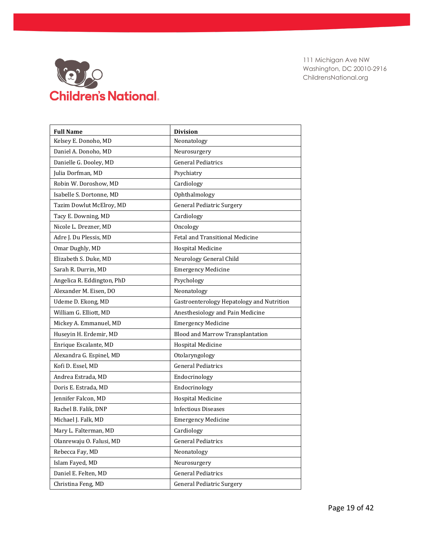

| <b>Full Name</b>           | <b>Division</b>                           |
|----------------------------|-------------------------------------------|
| Kelsey E. Donoho, MD       | Neonatology                               |
| Daniel A. Donoho, MD       | Neurosurgery                              |
| Danielle G. Dooley, MD     | <b>General Pediatrics</b>                 |
| Julia Dorfman, MD          | Psychiatry                                |
| Robin W. Doroshow, MD      | Cardiology                                |
| Isabelle S. Dortonne, MD   | Ophthalmology                             |
| Tazim Dowlut McElroy, MD   | <b>General Pediatric Surgery</b>          |
| Tacy E. Downing, MD        | Cardiology                                |
| Nicole L. Drezner, MD      | Oncology                                  |
| Adre J. Du Plessis, MD     | Fetal and Transitional Medicine           |
| Omar Dughly, MD            | <b>Hospital Medicine</b>                  |
| Elizabeth S. Duke, MD      | Neurology General Child                   |
| Sarah R. Durrin, MD        | <b>Emergency Medicine</b>                 |
| Angelica R. Eddington, PhD | Psychology                                |
| Alexander M. Eisen, DO     | Neonatology                               |
| Udeme D. Ekong, MD         | Gastroenterology Hepatology and Nutrition |
| William G. Elliott, MD     | Anesthesiology and Pain Medicine          |
| Mickey A. Emmanuel, MD     | <b>Emergency Medicine</b>                 |
| Huseyin H. Erdemir, MD     | Blood and Marrow Transplantation          |
| Enrique Escalante, MD      | <b>Hospital Medicine</b>                  |
| Alexandra G. Espinel, MD   | Otolaryngology                            |
| Kofi D. Essel, MD          | <b>General Pediatrics</b>                 |
| Andrea Estrada, MD         | Endocrinology                             |
| Doris E. Estrada, MD       | Endocrinology                             |
| Jennifer Falcon, MD        | <b>Hospital Medicine</b>                  |
| Rachel B. Falik, DNP       | <b>Infectious Diseases</b>                |
| Michael J. Falk, MD        | <b>Emergency Medicine</b>                 |
| Mary L. Falterman, MD      | Cardiology                                |
| Olanrewaju O. Falusi, MD   | <b>General Pediatrics</b>                 |
| Rebecca Fay, MD            | Neonatology                               |
| Islam Fayed, MD            | Neurosurgery                              |
| Daniel E. Felten, MD       | <b>General Pediatrics</b>                 |
| Christina Feng, MD         | <b>General Pediatric Surgery</b>          |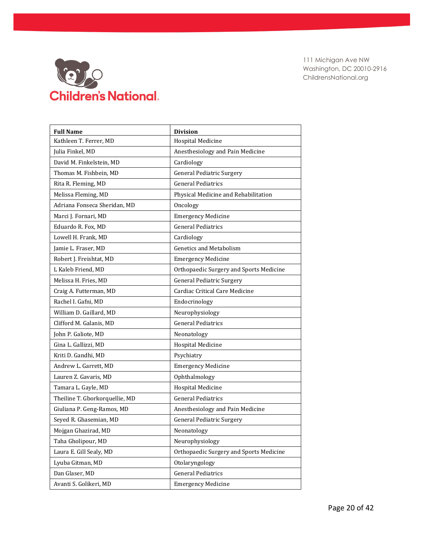

| <b>Full Name</b>               | <b>Division</b>                         |
|--------------------------------|-----------------------------------------|
| Kathleen T. Ferrer, MD         | <b>Hospital Medicine</b>                |
| Julia Finkel, MD               | Anesthesiology and Pain Medicine        |
| David M. Finkelstein. MD       | Cardiology                              |
| Thomas M. Fishbein, MD         | <b>General Pediatric Surgery</b>        |
| Rita R. Fleming, MD            | <b>General Pediatrics</b>               |
| Melissa Fleming, MD            | Physical Medicine and Rehabilitation    |
| Adriana Fonseca Sheridan, MD   | Oncology                                |
| Marci J. Fornari, MD           | <b>Emergency Medicine</b>               |
| Eduardo R. Fox, MD             | <b>General Pediatrics</b>               |
| Lowell H. Frank, MD            | Cardiology                              |
| Jamie L. Fraser, MD            | <b>Genetics and Metabolism</b>          |
| Robert J. Freishtat, MD        | <b>Emergency Medicine</b>               |
| L Kaleb Friend, MD             | Orthopaedic Surgery and Sports Medicine |
| Melissa H. Fries, MD           | <b>General Pediatric Surgery</b>        |
| Craig A. Futterman, MD         | Cardiac Critical Care Medicine          |
| Rachel I. Gafni, MD            | Endocrinology                           |
| William D. Gaillard, MD        | Neurophysiology                         |
| Clifford M. Galanis, MD        | <b>General Pediatrics</b>               |
| John P. Galiote, MD            | Neonatology                             |
| Gina L. Gallizzi, MD           | Hospital Medicine                       |
| Kriti D. Gandhi, MD            | Psychiatry                              |
| Andrew L. Garrett, MD          | <b>Emergency Medicine</b>               |
| Lauren Z. Gavaris, MD          | Ophthalmology                           |
| Tamara L. Gayle, MD            | <b>Hospital Medicine</b>                |
| Theiline T. Gborkorquellie, MD | <b>General Pediatrics</b>               |
| Giuliana P. Geng-Ramos, MD     | Anesthesiology and Pain Medicine        |
| Seyed R. Ghasemian, MD         | <b>General Pediatric Surgery</b>        |
| Mojgan Ghazirad, MD            | Neonatology                             |
| Taha Gholipour, MD             | Neurophysiology                         |
| Laura E. Gill Sealy, MD        | Orthopaedic Surgery and Sports Medicine |
| Lyuba Gitman, MD               | Otolaryngology                          |
| Dan Glaser, MD                 | <b>General Pediatrics</b>               |
| Avanti S. Golikeri, MD         | <b>Emergency Medicine</b>               |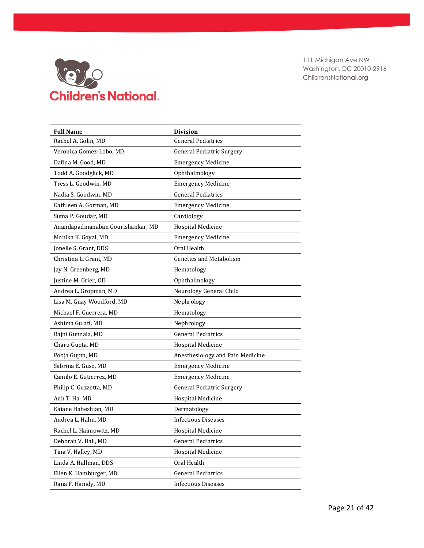

| <b>Full Name</b>                  | <b>Division</b>                  |
|-----------------------------------|----------------------------------|
| Rachel A. Golin, MD               | <b>General Pediatrics</b>        |
| Veronica Gomez-Lobo, MD           | <b>General Pediatric Surgery</b> |
| Dafina M. Good, MD                | <b>Emergency Medicine</b>        |
| Todd A. Goodglick, MD             | Ophthalmology                    |
| Tress L. Goodwin, MD              | <b>Emergency Medicine</b>        |
| Nadia S. Goodwin, MD              | <b>General Pediatrics</b>        |
| Kathleen A. Gorman, MD            | <b>Emergency Medicine</b>        |
| Suma P. Goudar, MD                | Cardiology                       |
| Anandapadmanaban Gourishankar, MD | <b>Hospital Medicine</b>         |
| Monika K. Goyal, MD               | <b>Emergency Medicine</b>        |
| Jonelle S. Grant, DDS             | Oral Health                      |
| Christina L. Grant, MD            | <b>Genetics and Metabolism</b>   |
| Jay N. Greenberg, MD              | Hematology                       |
| Justine M. Grier, OD              | Ophthalmology                    |
| Andrea L. Gropman, MD             | Neurology General Child          |
| Lisa M. Guay Woodford, MD         | Nephrology                       |
| Michael F. Guerrera, MD           | Hematology                       |
| Ashima Gulati, MD                 | Nephrology                       |
| Rajni Gunnala, MD                 | <b>General Pediatrics</b>        |
| Charu Gupta, MD                   | Hospital Medicine                |
| Pooja Gupta, MD                   | Anesthesiology and Pain Medicine |
| Sabrina E. Guse, MD               | <b>Emergency Medicine</b>        |
| Camilo E. Gutierrez, MD           | <b>Emergency Medicine</b>        |
| Philip C. Guzzetta, MD            | <b>General Pediatric Surgery</b> |
| Anh T. Ha, MD                     | <b>Hospital Medicine</b>         |
| Kaiane Habeshian, MD              | Dermatology                      |
| Andrea L. Hahn, MD                | <b>Infectious Diseases</b>       |
| Rachel L. Haimowitz, MD           | <b>Hospital Medicine</b>         |
| Deborah V. Hall, MD               | <b>General Pediatrics</b>        |
| Tina V. Halley, MD                | <b>Hospital Medicine</b>         |
| Linda A. Hallman, DDS             | Oral Health                      |
| Ellen K. Hamburger, MD            | <b>General Pediatrics</b>        |
| Rana F. Hamdy, MD                 | <b>Infectious Diseases</b>       |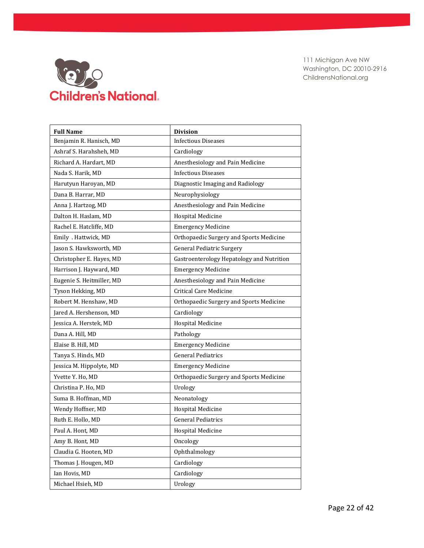

| <b>Full Name</b>          | <b>Division</b>                           |
|---------------------------|-------------------------------------------|
| Benjamin R. Hanisch, MD   | <b>Infectious Diseases</b>                |
| Ashraf S. Harahsheh, MD   | Cardiology                                |
| Richard A. Hardart, MD    | Anesthesiology and Pain Medicine          |
| Nada S. Harik, MD         | <b>Infectious Diseases</b>                |
| Harutyun Haroyan, MD      | Diagnostic Imaging and Radiology          |
| Dana B. Harrar, MD        | Neurophysiology                           |
| Anna J. Hartzog, MD       | Anesthesiology and Pain Medicine          |
| Dalton H. Haslam, MD      | <b>Hospital Medicine</b>                  |
| Rachel E. Hatcliffe, MD   | <b>Emergency Medicine</b>                 |
| Emily . Hattwick, MD      | Orthopaedic Surgery and Sports Medicine   |
| Jason S. Hawksworth, MD   | <b>General Pediatric Surgery</b>          |
| Christopher E. Hayes, MD  | Gastroenterology Hepatology and Nutrition |
| Harrison J. Hayward, MD   | <b>Emergency Medicine</b>                 |
| Eugenie S. Heitmiller, MD | Anesthesiology and Pain Medicine          |
| Tyson Hekking, MD         | <b>Critical Care Medicine</b>             |
| Robert M. Henshaw, MD     | Orthopaedic Surgery and Sports Medicine   |
| Jared A. Hershenson, MD   | Cardiology                                |
| Jessica A. Herstek, MD    | <b>Hospital Medicine</b>                  |
| Dana A. Hill, MD          | Pathology                                 |
| Elaise B. Hill, MD        | <b>Emergency Medicine</b>                 |
| Tanya S. Hinds, MD        | <b>General Pediatrics</b>                 |
| Jessica M. Hippolyte, MD  | <b>Emergency Medicine</b>                 |
| Yvette Y. Ho, MD          | Orthopaedic Surgery and Sports Medicine   |
| Christina P. Ho, MD       | Urology                                   |
| Suma B. Hoffman, MD       | Neonatology                               |
| Wendy Hoffner, MD         | <b>Hospital Medicine</b>                  |
| Ruth E. Hollo, MD         | <b>General Pediatrics</b>                 |
| Paul A. Hont, MD          | <b>Hospital Medicine</b>                  |
| Amy B. Hont, MD           | Oncology                                  |
| Claudia G. Hooten, MD     | Ophthalmology                             |
| Thomas J. Hougen, MD      | Cardiology                                |
| Ian Hovis, MD             | Cardiology                                |
| Michael Hsieh, MD         | Urology                                   |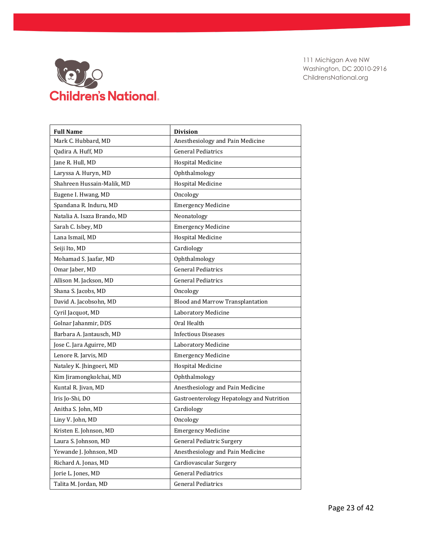

| <b>Full Name</b>            | <b>Division</b>                           |
|-----------------------------|-------------------------------------------|
| Mark C. Hubbard, MD         | Anesthesiology and Pain Medicine          |
| Qadira A. Huff, MD          | <b>General Pediatrics</b>                 |
| Jane R. Hull, MD            | <b>Hospital Medicine</b>                  |
| Laryssa A. Huryn, MD        | Ophthalmology                             |
| Shahreen Hussain-Malik, MD  | <b>Hospital Medicine</b>                  |
| Eugene I. Hwang, MD         | Oncology                                  |
| Spandana R. Induru, MD      | <b>Emergency Medicine</b>                 |
| Natalia A. Isaza Brando, MD | Neonatology                               |
| Sarah C. Isbey, MD          | <b>Emergency Medicine</b>                 |
| Lana Ismail, MD             | <b>Hospital Medicine</b>                  |
| Seiji Ito, MD               | Cardiology                                |
| Mohamad S. Jaafar, MD       | Ophthalmology                             |
| Omar Jaber, MD              | <b>General Pediatrics</b>                 |
| Allison M. Jackson, MD      | <b>General Pediatrics</b>                 |
| Shana S. Jacobs, MD         | Oncology                                  |
| David A. Jacobsohn, MD      | Blood and Marrow Transplantation          |
| Cyril Jacquot, MD           | Laboratory Medicine                       |
| Golnar Jahanmir, DDS        | Oral Health                               |
| Barbara A. Jantausch, MD    | <b>Infectious Diseases</b>                |
| Jose C. Jara Aguirre, MD    | Laboratory Medicine                       |
| Lenore R. Jarvis, MD        | <b>Emergency Medicine</b>                 |
| Nataley K. Jhingoeri, MD    | <b>Hospital Medicine</b>                  |
| Kim Jiramongkolchai, MD     | Ophthalmology                             |
| Kuntal R. Jivan, MD         | Anesthesiology and Pain Medicine          |
| Iris Jo-Shi, DO             | Gastroenterology Hepatology and Nutrition |
| Anitha S. John, MD          | Cardiology                                |
| Liny V. John, MD            | Oncology                                  |
| Kristen E. Johnson, MD      | <b>Emergency Medicine</b>                 |
| Laura S. Johnson, MD        | <b>General Pediatric Surgery</b>          |
| Yewande J. Johnson, MD      | Anesthesiology and Pain Medicine          |
| Richard A. Jonas, MD        | Cardiovascular Surgery                    |
| Jorie L. Jones, MD          | <b>General Pediatrics</b>                 |
| Talita M. Jordan, MD        | <b>General Pediatrics</b>                 |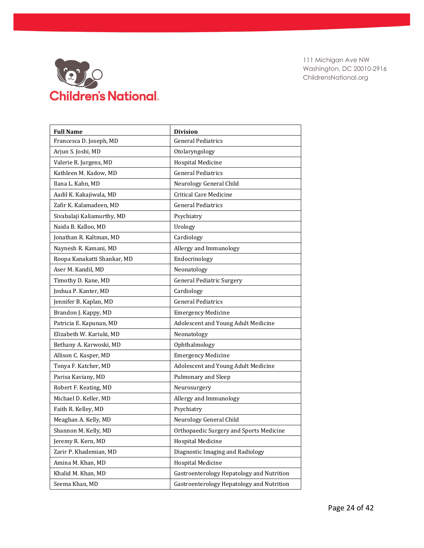

| <b>Full Name</b>            | <b>Division</b>                           |
|-----------------------------|-------------------------------------------|
| Francesca D. Joseph, MD     | <b>General Pediatrics</b>                 |
| Arjun S. Joshi, MD          | Otolaryngology                            |
| Valerie R. Jurgens, MD      | <b>Hospital Medicine</b>                  |
| Kathleen M. Kadow, MD       | <b>General Pediatrics</b>                 |
| Ilana L. Kahn, MD           | Neurology General Child                   |
| Aadil K. Kakajiwala, MD     | <b>Critical Care Medicine</b>             |
| Zafir K. Kalamadeen. MD     | <b>General Pediatrics</b>                 |
| Sivabalaji Kaliamurthy, MD  | Psychiatry                                |
| Naida B. Kalloo, MD         | Urology                                   |
| Jonathan R. Kaltman, MD     | Cardiology                                |
| Naynesh R. Kamani, MD       | Allergy and Immunology                    |
| Roopa Kanakatti Shankar, MD | Endocrinology                             |
| Aser M. Kandil, MD          | Neonatology                               |
| Timothy D. Kane, MD         | <b>General Pediatric Surgery</b>          |
| Joshua P. Kanter, MD        | Cardiology                                |
| Jennifer B. Kaplan, MD      | <b>General Pediatrics</b>                 |
| Brandon J. Kappy, MD        | <b>Emergency Medicine</b>                 |
| Patricia E. Kapunan, MD     | Adolescent and Young Adult Medicine       |
| Elizabeth W. Kariuki, MD    | Neonatology                               |
| Bethany A. Karwoski, MD     | Ophthalmology                             |
| Allison C. Kasper, MD       | <b>Emergency Medicine</b>                 |
| Tonya F. Katcher, MD        | Adolescent and Young Adult Medicine       |
| Parisa Kaviany, MD          | Pulmonary and Sleep                       |
| Robert F. Keating, MD       | Neurosurgery                              |
| Michael D. Keller, MD       | Allergy and Immunology                    |
| Faith R. Kelley, MD         | Psychiatry                                |
| Meaghan A. Kelly, MD        | Neurology General Child                   |
| Shannon M. Kelly, MD        | Orthopaedic Surgery and Sports Medicine   |
| Jeremy R. Kern, MD          | <b>Hospital Medicine</b>                  |
| Zarir P. Khademian, MD      | Diagnostic Imaging and Radiology          |
| Amina M. Khan, MD           | Hospital Medicine                         |
| Khalid M. Khan, MD          | Gastroenterology Hepatology and Nutrition |
| Seema Khan, MD              | Gastroenterology Hepatology and Nutrition |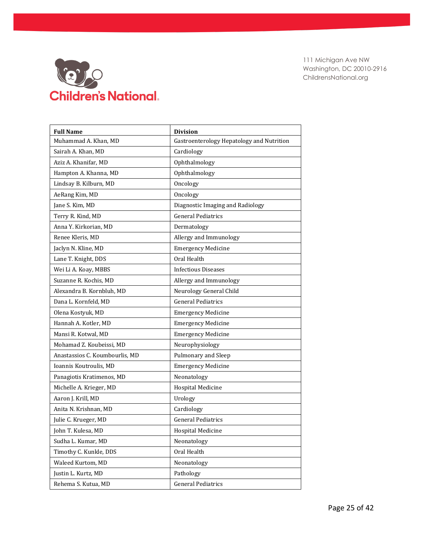

| <b>Full Name</b>               | <b>Division</b>                           |
|--------------------------------|-------------------------------------------|
| Muhammad A. Khan, MD           | Gastroenterology Hepatology and Nutrition |
| Sairah A. Khan, MD             | Cardiology                                |
| Aziz A. Khanifar, MD           | Ophthalmology                             |
| Hampton A. Khanna, MD          | Ophthalmology                             |
| Lindsay B. Kilburn, MD         | Oncology                                  |
| AeRang Kim, MD                 | Oncology                                  |
| Jane S. Kim, MD                | Diagnostic Imaging and Radiology          |
| Terry R. Kind, MD              | <b>General Pediatrics</b>                 |
| Anna Y. Kirkorian, MD          | Dermatology                               |
| Renee Kleris, MD               | Allergy and Immunology                    |
| Jaclyn N. Kline, MD            | <b>Emergency Medicine</b>                 |
| Lane T. Knight, DDS            | Oral Health                               |
| Wei Li A. Koay, MBBS           | <b>Infectious Diseases</b>                |
| Suzanne R. Kochis, MD          | Allergy and Immunology                    |
| Alexandra B. Kornbluh, MD      | Neurology General Child                   |
| Dana L. Kornfeld, MD           | <b>General Pediatrics</b>                 |
| Olena Kostyuk, MD              | <b>Emergency Medicine</b>                 |
| Hannah A. Kotler, MD           | <b>Emergency Medicine</b>                 |
| Mansi R. Kotwal, MD            | <b>Emergency Medicine</b>                 |
| Mohamad Z. Koubeissi, MD       | Neurophysiology                           |
| Anastassios C. Koumbourlis, MD | Pulmonary and Sleep                       |
| Ioannis Koutroulis, MD         | <b>Emergency Medicine</b>                 |
| Panagiotis Kratimenos, MD      | Neonatology                               |
| Michelle A. Krieger, MD        | <b>Hospital Medicine</b>                  |
| Aaron J. Krill, MD             | Urology                                   |
| Anita N. Krishnan, MD          | Cardiology                                |
| Julie C. Krueger, MD           | <b>General Pediatrics</b>                 |
| John T. Kulesa, MD             | Hospital Medicine                         |
| Sudha L. Kumar, MD             | Neonatology                               |
| Timothy C. Kunkle, DDS         | Oral Health                               |
| Waleed Kurtom, MD              | Neonatology                               |
| Justin L. Kurtz, MD            | Pathology                                 |
| Rehema S. Kutua, MD            | <b>General Pediatrics</b>                 |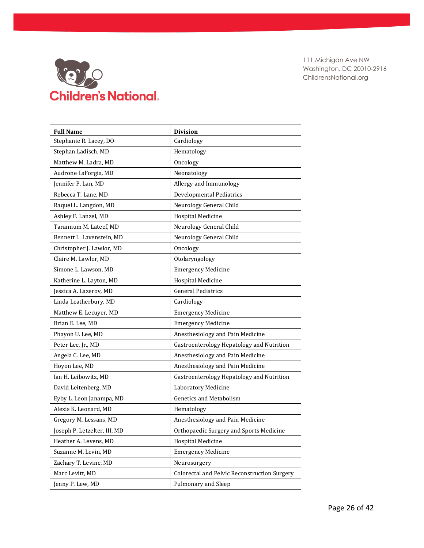

| <b>Full Name</b>             | <b>Division</b>                              |
|------------------------------|----------------------------------------------|
| Stephanie R. Lacey, DO       | Cardiology                                   |
| Stephan Ladisch, MD          | Hematology                                   |
| Matthew M. Ladra, MD         | Oncology                                     |
| Audrone LaForgia, MD         | Neonatology                                  |
| Jennifer P. Lan, MD          | Allergy and Immunology                       |
| Rebecca T. Lane, MD          | <b>Developmental Pediatrics</b>              |
| Raquel L. Langdon, MD        | Neurology General Child                      |
| Ashley F. Lanzel, MD         | Hospital Medicine                            |
| Tarannum M. Lateef, MD       | Neurology General Child                      |
| Bennett L. Lavenstein, MD    | Neurology General Child                      |
| Christopher J. Lawlor, MD    | Oncology                                     |
| Claire M. Lawlor, MD         | Otolaryngology                               |
| Simone L. Lawson, MD         | <b>Emergency Medicine</b>                    |
| Katherine L. Layton, MD      | <b>Hospital Medicine</b>                     |
| Jessica A. Lazerov, MD       | <b>General Pediatrics</b>                    |
| Linda Leatherbury, MD        | Cardiology                                   |
| Matthew E. Lecuyer, MD       | <b>Emergency Medicine</b>                    |
| Brian E. Lee, MD             | <b>Emergency Medicine</b>                    |
| Phayon U. Lee, MD            | Anesthesiology and Pain Medicine             |
| Peter Lee, Jr., MD           | Gastroenterology Hepatology and Nutrition    |
| Angela C. Lee, MD            | Anesthesiology and Pain Medicine             |
| Hoyon Lee, MD                | Anesthesiology and Pain Medicine             |
| Ian H. Leibowitz, MD         | Gastroenterology Hepatology and Nutrition    |
| David Leitenberg, MD         | Laboratory Medicine                          |
| Eyby L. Leon Janampa, MD     | <b>Genetics and Metabolism</b>               |
| Alexis K. Leonard, MD        | Hematology                                   |
| Gregory M. Lessans, MD       | Anesthesiology and Pain Medicine             |
| Joseph P. Letzelter, III, MD | Orthopaedic Surgery and Sports Medicine      |
| Heather A. Levens, MD        | <b>Hospital Medicine</b>                     |
| Suzanne M. Levin, MD         | <b>Emergency Medicine</b>                    |
| Zachary T. Levine, MD        | Neurosurgery                                 |
| Marc Levitt, MD              | Colorectal and Pelvic Reconstruction Surgery |
| Jenny P. Lew, MD             | Pulmonary and Sleep                          |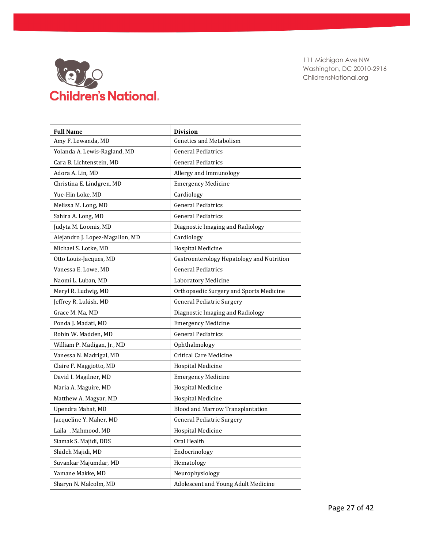

| <b>Full Name</b>                | <b>Division</b>                           |
|---------------------------------|-------------------------------------------|
| Amy F. Lewanda, MD              | <b>Genetics and Metabolism</b>            |
| Yolanda A. Lewis-Ragland, MD    | <b>General Pediatrics</b>                 |
| Cara B. Lichtenstein, MD        | <b>General Pediatrics</b>                 |
| Adora A. Lin, MD                | Allergy and Immunology                    |
| Christina E. Lindgren, MD       | <b>Emergency Medicine</b>                 |
| Yue-Hin Loke, MD                | Cardiology                                |
| Melissa M. Long, MD             | <b>General Pediatrics</b>                 |
| Sahira A. Long, MD              | <b>General Pediatrics</b>                 |
| Judyta M. Loomis, MD            | Diagnostic Imaging and Radiology          |
| Alejandro J. Lopez-Magallon, MD | Cardiology                                |
| Michael S. Lotke, MD            | Hospital Medicine                         |
| Otto Louis-Jacques, MD          | Gastroenterology Hepatology and Nutrition |
| Vanessa E. Lowe, MD             | <b>General Pediatrics</b>                 |
| Naomi L. Luban, MD              | Laboratory Medicine                       |
| Meryl R. Ludwig, MD             | Orthopaedic Surgery and Sports Medicine   |
| Jeffrey R. Lukish, MD           | <b>General Pediatric Surgery</b>          |
| Grace M. Ma, MD                 | Diagnostic Imaging and Radiology          |
| Ponda J. Madati, MD             | <b>Emergency Medicine</b>                 |
| Robin W. Madden, MD             | <b>General Pediatrics</b>                 |
| William P. Madigan, Jr., MD     | Ophthalmology                             |
| Vanessa N. Madrigal, MD         | <b>Critical Care Medicine</b>             |
| Claire F. Maggiotto, MD         | <b>Hospital Medicine</b>                  |
| David I. Magilner, MD           | <b>Emergency Medicine</b>                 |
| Maria A. Maguire, MD            | <b>Hospital Medicine</b>                  |
| Matthew A. Magyar, MD           | <b>Hospital Medicine</b>                  |
| Upendra Mahat, MD               | Blood and Marrow Transplantation          |
| Jacqueline Y. Maher, MD         | <b>General Pediatric Surgery</b>          |
| Laila . Mahmood, MD             | <b>Hospital Medicine</b>                  |
| Siamak S. Majidi, DDS           | Oral Health                               |
| Shideh Majidi, MD               | Endocrinology                             |
| Suvankar Majumdar, MD           | Hematology                                |
| Yamane Makke, MD                | Neurophysiology                           |
| Sharyn N. Malcolm, MD           | Adolescent and Young Adult Medicine       |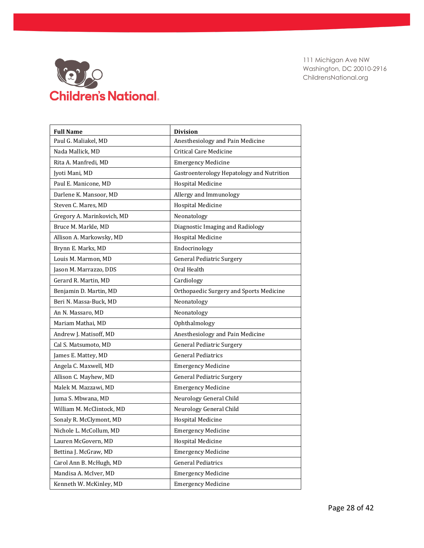

| <b>Full Name</b>           | <b>Division</b>                           |
|----------------------------|-------------------------------------------|
| Paul G. Maliakel, MD       | Anesthesiology and Pain Medicine          |
| Nada Mallick, MD           | <b>Critical Care Medicine</b>             |
| Rita A. Manfredi, MD       | <b>Emergency Medicine</b>                 |
| Jyoti Mani, MD             | Gastroenterology Hepatology and Nutrition |
| Paul E. Manicone, MD       | <b>Hospital Medicine</b>                  |
| Darlene K. Mansoor, MD     | Allergy and Immunology                    |
| Steven C. Mares, MD        | <b>Hospital Medicine</b>                  |
| Gregory A. Marinkovich, MD | Neonatology                               |
| Bruce M. Markle, MD        | Diagnostic Imaging and Radiology          |
| Allison A. Markowsky, MD   | <b>Hospital Medicine</b>                  |
| Brynn E. Marks, MD         | Endocrinology                             |
| Louis M. Marmon, MD        | <b>General Pediatric Surgery</b>          |
| Jason M. Marrazzo, DDS     | Oral Health                               |
| Gerard R. Martin, MD       | Cardiology                                |
| Benjamin D. Martin, MD     | Orthopaedic Surgery and Sports Medicine   |
| Beri N. Massa-Buck, MD     | Neonatology                               |
| An N. Massaro, MD          | Neonatology                               |
| Mariam Mathai, MD          | Ophthalmology                             |
| Andrew J. Matisoff, MD     | Anesthesiology and Pain Medicine          |
| Cal S. Matsumoto, MD       | <b>General Pediatric Surgery</b>          |
| James E. Mattey, MD        | <b>General Pediatrics</b>                 |
| Angela C. Maxwell, MD      | <b>Emergency Medicine</b>                 |
| Allison C. Mayhew, MD      | <b>General Pediatric Surgery</b>          |
| Malek M. Mazzawi, MD       | <b>Emergency Medicine</b>                 |
| Juma S. Mbwana, MD         | Neurology General Child                   |
| William M. McClintock, MD  | Neurology General Child                   |
| Sonaly R. McClymont, MD    | <b>Hospital Medicine</b>                  |
| Nichole L. McCollum, MD    | <b>Emergency Medicine</b>                 |
| Lauren McGovern, MD        | <b>Hospital Medicine</b>                  |
| Bettina J. McGraw, MD      | <b>Emergency Medicine</b>                 |
| Carol Ann B. McHugh, MD    | <b>General Pediatrics</b>                 |
| Mandisa A. McIver, MD      | <b>Emergency Medicine</b>                 |
| Kenneth W. McKinley, MD    | <b>Emergency Medicine</b>                 |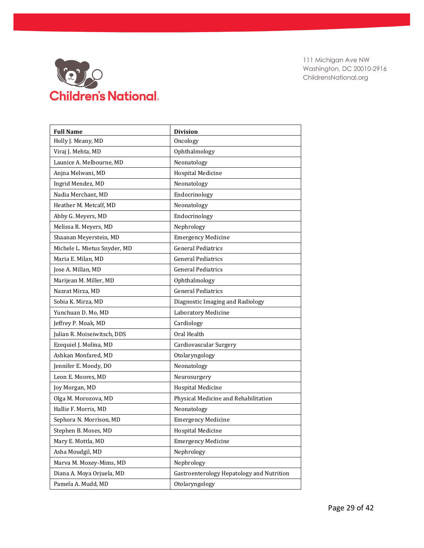

| <b>Full Name</b>             | <b>Division</b>                           |
|------------------------------|-------------------------------------------|
| Holly J. Meany, MD           | Oncology                                  |
| Viraj J. Mehta, MD           | Ophthalmology                             |
| Launice A. Melbourne, MD     | Neonatology                               |
| Anjna Melwani, MD            | Hospital Medicine                         |
| Ingrid Mendez, MD            | Neonatology                               |
| Nadia Merchant, MD           | Endocrinology                             |
| Heather M. Metcalf, MD       | Neonatology                               |
| Abby G. Meyers, MD           | Endocrinology                             |
| Melissa R. Meyers, MD        | Nephrology                                |
| Shaanan Meyerstein, MD       | <b>Emergency Medicine</b>                 |
| Michele L. Mietus Snyder, MD | <b>General Pediatrics</b>                 |
| Maria E. Milan, MD           | <b>General Pediatrics</b>                 |
| Jose A. Millan, MD           | <b>General Pediatrics</b>                 |
| Marijean M. Miller, MD       | Ophthalmology                             |
| Nazrat Mirza, MD             | <b>General Pediatrics</b>                 |
| Sobia K. Mirza, MD           | Diagnostic Imaging and Radiology          |
| Yunchuan D. Mo, MD           | Laboratory Medicine                       |
| Jeffrey P. Moak, MD          | Cardiology                                |
| Julian R. Moiseiwitsch, DDS  | Oral Health                               |
| Ezequiel J. Molina, MD       | Cardiovascular Surgery                    |
| Ashkan Monfared, MD          | Otolaryngology                            |
| Jennifer E. Moody, DO        | Neonatology                               |
| Leon E. Moores, MD           | Neurosurgery                              |
| Joy Morgan, MD               | <b>Hospital Medicine</b>                  |
| Olga M. Morozova, MD         | Physical Medicine and Rehabilitation      |
| Hallie F. Morris, MD         | Neonatology                               |
| Sephora N. Morrison, MD      | <b>Emergency Medicine</b>                 |
| Stephen B. Moses, MD         | Hospital Medicine                         |
| Mary E. Mottla, MD           | <b>Emergency Medicine</b>                 |
| Asha Moudgil, MD             | Nephrology                                |
| Marva M. Moxey-Mims, MD      | Nephrology                                |
| Diana A. Moya Orjuela, MD    | Gastroenterology Hepatology and Nutrition |
| Pamela A. Mudd, MD           | Otolaryngology                            |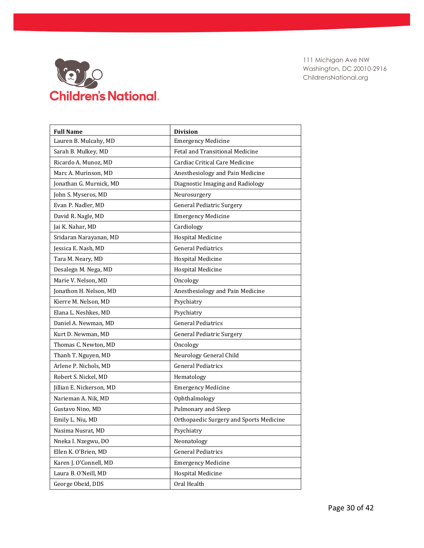

| <b>Full Name</b>         | <b>Division</b>                         |
|--------------------------|-----------------------------------------|
| Lauren B. Mulcahy, MD    | <b>Emergency Medicine</b>               |
| Sarah B. Mulkey, MD      | <b>Fetal and Transitional Medicine</b>  |
| Ricardo A. Munoz, MD     | Cardiac Critical Care Medicine          |
| Marc A. Murinson, MD     | Anesthesiology and Pain Medicine        |
| Jonathan G. Murnick, MD  | Diagnostic Imaging and Radiology        |
| John S. Myseros, MD      | Neurosurgery                            |
| Evan P. Nadler, MD       | <b>General Pediatric Surgery</b>        |
| David R. Nagle, MD       | <b>Emergency Medicine</b>               |
| Jai K. Nahar, MD         | Cardiology                              |
| Sridaran Narayanan, MD   | <b>Hospital Medicine</b>                |
| Jessica E. Nash, MD      | <b>General Pediatrics</b>               |
| Tara M. Neary, MD        | <b>Hospital Medicine</b>                |
| Desalegn M. Nega, MD     | <b>Hospital Medicine</b>                |
| Marie V. Nelson, MD      | Oncology                                |
| Jonathon H. Nelson, MD   | Anesthesiology and Pain Medicine        |
| Kierre M. Nelson, MD     | Psychiatry                              |
| Elana L. Neshkes, MD     | Psychiatry                              |
| Daniel A. Newman, MD     | <b>General Pediatrics</b>               |
| Kurt D. Newman, MD       | <b>General Pediatric Surgery</b>        |
| Thomas C. Newton, MD     | Oncology                                |
| Thanh T. Nguyen, MD      | Neurology General Child                 |
| Arlene P. Nichols, MD    | <b>General Pediatrics</b>               |
| Robert S. Nickel, MD     | Hematology                              |
| Jillian E. Nickerson, MD | <b>Emergency Medicine</b>               |
| Narieman A. Nik, MD      | Ophthalmology                           |
| Gustavo Nino. MD         | Pulmonary and Sleep                     |
| Emily L. Niu, MD         | Orthopaedic Surgery and Sports Medicine |
| Nasima Nusrat, MD        | Psychiatry                              |
| Nneka I. Nzegwu, DO      | Neonatology                             |
| Ellen K. O'Brien, MD     | <b>General Pediatrics</b>               |
| Karen J. O'Connell, MD   | <b>Emergency Medicine</b>               |
| Laura B. O'Neill, MD     | <b>Hospital Medicine</b>                |
| George Obeid, DDS        | Oral Health                             |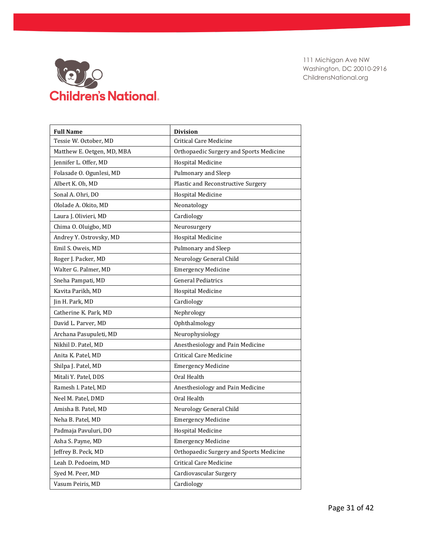

| <b>Full Name</b>           | <b>Division</b>                         |
|----------------------------|-----------------------------------------|
| Tessie W. October, MD      | <b>Critical Care Medicine</b>           |
| Matthew E. Oetgen, MD, MBA | Orthopaedic Surgery and Sports Medicine |
| Jennifer L. Offer, MD      | <b>Hospital Medicine</b>                |
| Folasade O. Ogunlesi, MD   | Pulmonary and Sleep                     |
| Albert K. Oh, MD           | Plastic and Reconstructive Surgery      |
| Sonal A. Ohri, DO          | <b>Hospital Medicine</b>                |
| Ololade A. Okito, MD       | Neonatology                             |
| Laura J. Olivieri, MD      | Cardiology                              |
| Chima O. Oluigbo, MD       | Neurosurgery                            |
| Andrey Y. Ostrovsky, MD    | <b>Hospital Medicine</b>                |
| Emil S. Oweis, MD          | Pulmonary and Sleep                     |
| Roger J. Packer, MD        | Neurology General Child                 |
| Walter G. Palmer, MD       | <b>Emergency Medicine</b>               |
| Sneha Pampati, MD          | <b>General Pediatrics</b>               |
| Kavita Parikh, MD          | <b>Hospital Medicine</b>                |
| Jin H. Park, MD            | Cardiology                              |
| Catherine K. Park, MD      | Nephrology                              |
| David L. Parver, MD        | Ophthalmology                           |
| Archana Pasupuleti, MD     | Neurophysiology                         |
| Nikhil D. Patel, MD        | Anesthesiology and Pain Medicine        |
| Anita K. Patel, MD         | <b>Critical Care Medicine</b>           |
| Shilpa J. Patel, MD        | <b>Emergency Medicine</b>               |
| Mitali Y. Patel, DDS       | Oral Health                             |
| Ramesh I. Patel, MD        | Anesthesiology and Pain Medicine        |
| Neel M. Patel, DMD         | Oral Health                             |
| Amisha B. Patel, MD        | Neurology General Child                 |
| Neha B. Patel, MD          | <b>Emergency Medicine</b>               |
| Padmaja Pavuluri, DO       | <b>Hospital Medicine</b>                |
| Asha S. Payne, MD          | <b>Emergency Medicine</b>               |
| Jeffrey B. Peck, MD        | Orthopaedic Surgery and Sports Medicine |
| Leah D. Pedoeim, MD        | <b>Critical Care Medicine</b>           |
| Syed M. Peer, MD           | Cardiovascular Surgery                  |
| Vasum Peiris, MD           | Cardiology                              |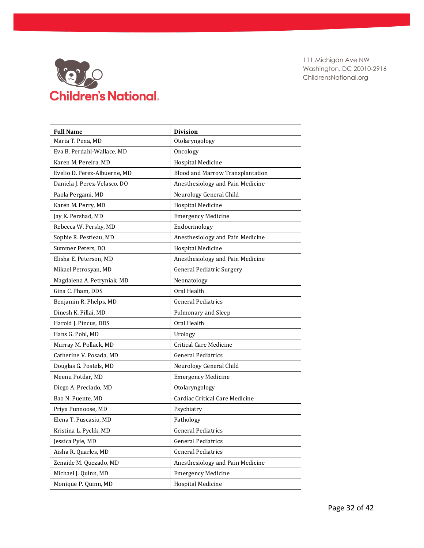

| <b>Full Name</b>             | <b>Division</b>                  |
|------------------------------|----------------------------------|
| Maria T. Pena, MD            | Otolaryngology                   |
| Eva B. Perdahl-Wallace, MD   | Oncology                         |
| Karen M. Pereira, MD         | <b>Hospital Medicine</b>         |
| Evelio D. Perez-Albuerne, MD | Blood and Marrow Transplantation |
| Daniela J. Perez-Velasco, DO | Anesthesiology and Pain Medicine |
| Paola Pergami, MD            | Neurology General Child          |
| Karen M. Perry, MD           | <b>Hospital Medicine</b>         |
| Jay K. Pershad, MD           | <b>Emergency Medicine</b>        |
| Rebecca W. Persky, MD        | Endocrinology                    |
| Sophie R. Pestieau, MD       | Anesthesiology and Pain Medicine |
| Summer Peters, DO            | <b>Hospital Medicine</b>         |
| Elisha E. Peterson, MD       | Anesthesiology and Pain Medicine |
| Mikael Petrosyan, MD         | <b>General Pediatric Surgery</b> |
| Magdalena A. Petryniak, MD   | Neonatology                      |
| Gina C. Pham, DDS            | Oral Health                      |
| Benjamin R. Phelps, MD       | <b>General Pediatrics</b>        |
| Dinesh K. Pillai, MD         | Pulmonary and Sleep              |
| Harold J. Pincus, DDS        | Oral Health                      |
| Hans G. Pohl, MD             | Urology                          |
| Murray M. Pollack, MD        | <b>Critical Care Medicine</b>    |
| Catherine V. Posada, MD      | <b>General Pediatrics</b>        |
| Douglas G. Postels, MD       | Neurology General Child          |
| Meenu Potdar, MD             | <b>Emergency Medicine</b>        |
| Diego A. Preciado, MD        | Otolaryngology                   |
| Bao N. Puente, MD            | Cardiac Critical Care Medicine   |
| Priya Punnoose, MD           | Psychiatry                       |
| Elena T. Puscasiu, MD        | Pathology                        |
| Kristina L. Pyclik, MD       | <b>General Pediatrics</b>        |
| Jessica Pyle, MD             | <b>General Pediatrics</b>        |
| Aisha R. Quarles, MD         | <b>General Pediatrics</b>        |
| Zenaide M. Quezado, MD       | Anesthesiology and Pain Medicine |
| Michael J. Quinn, MD         | <b>Emergency Medicine</b>        |
| Monique P. Quinn, MD         | Hospital Medicine                |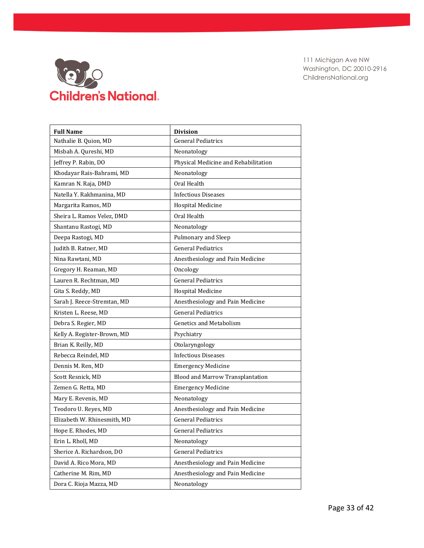

| <b>Full Name</b>            | <b>Division</b>                      |
|-----------------------------|--------------------------------------|
| Nathalie B. Quion, MD       | <b>General Pediatrics</b>            |
| Misbah A. Qureshi, MD       | Neonatology                          |
| Jeffrey P. Rabin, DO        | Physical Medicine and Rehabilitation |
| Khodayar Rais-Bahrami, MD   | Neonatology                          |
| Kamran N. Raja, DMD         | Oral Health                          |
| Natella Y. Rakhmanina. MD   | <b>Infectious Diseases</b>           |
| Margarita Ramos, MD         | <b>Hospital Medicine</b>             |
| Sheira L. Ramos Velez, DMD  | Oral Health                          |
| Shantanu Rastogi, MD        | Neonatology                          |
| Deepa Rastogi, MD           | Pulmonary and Sleep                  |
| Judith B. Ratner, MD        | <b>General Pediatrics</b>            |
| Nina Rawtani, MD            | Anesthesiology and Pain Medicine     |
| Gregory H. Reaman, MD       | Oncology                             |
| Lauren R. Rechtman, MD      | <b>General Pediatrics</b>            |
| Gita S. Reddy, MD           | <b>Hospital Medicine</b>             |
| Sarah J. Reece-Stremtan, MD | Anesthesiology and Pain Medicine     |
| Kristen L. Reese, MD        | <b>General Pediatrics</b>            |
| Debra S. Regier, MD         | <b>Genetics and Metabolism</b>       |
| Kelly A. Register-Brown, MD | Psychiatry                           |
| Brian K. Reilly, MD         | Otolaryngology                       |
| Rebecca Reindel, MD         | <b>Infectious Diseases</b>           |
| Dennis M. Ren, MD           | <b>Emergency Medicine</b>            |
| Scott Resnick, MD           | Blood and Marrow Transplantation     |
| Zemen G. Retta, MD          | <b>Emergency Medicine</b>            |
| Mary E. Revenis, MD         | Neonatology                          |
| Teodoro U. Reyes, MD        | Anesthesiology and Pain Medicine     |
| Elizabeth W. Rhinesmith, MD | <b>General Pediatrics</b>            |
| Hope E. Rhodes, MD          | <b>General Pediatrics</b>            |
| Erin L. Rholl, MD           | Neonatology                          |
| Sherice A. Richardson, DO   | <b>General Pediatrics</b>            |
| David A. Rico Mora, MD      | Anesthesiology and Pain Medicine     |
| Catherine M. Rim, MD        | Anesthesiology and Pain Medicine     |
| Dora C. Rioja Mazza, MD     | Neonatology                          |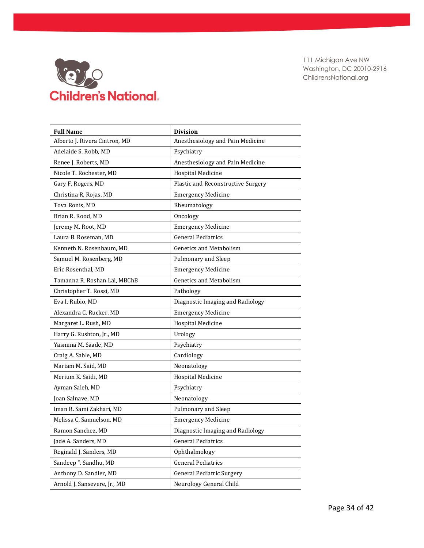

| <b>Full Name</b>              | <b>Division</b>                    |
|-------------------------------|------------------------------------|
| Alberto J. Rivera Cintron, MD | Anesthesiology and Pain Medicine   |
| Adelaide S. Robb, MD          | Psychiatry                         |
| Renee J. Roberts, MD          | Anesthesiology and Pain Medicine   |
| Nicole T. Rochester, MD       | <b>Hospital Medicine</b>           |
| Gary F. Rogers, MD            | Plastic and Reconstructive Surgery |
| Christina R. Rojas, MD        | <b>Emergency Medicine</b>          |
| Tova Ronis, MD                | Rheumatology                       |
| Brian R. Rood, MD             | Oncology                           |
| Jeremy M. Root, MD            | <b>Emergency Medicine</b>          |
| Laura B. Roseman, MD          | <b>General Pediatrics</b>          |
| Kenneth N. Rosenbaum, MD      | <b>Genetics and Metabolism</b>     |
| Samuel M. Rosenberg, MD       | Pulmonary and Sleep                |
| Eric Rosenthal, MD            | <b>Emergency Medicine</b>          |
| Tamanna R. Roshan Lal, MBChB  | <b>Genetics and Metabolism</b>     |
| Christopher T. Rossi, MD      | Pathology                          |
| Eva I. Rubio, MD              | Diagnostic Imaging and Radiology   |
| Alexandra C. Rucker, MD       | <b>Emergency Medicine</b>          |
| Margaret L. Rush, MD          | Hospital Medicine                  |
| Harry G. Rushton, Jr., MD     | Urology                            |
| Yasmina M. Saade, MD          | Psychiatry                         |
| Craig A. Sable, MD            | Cardiology                         |
| Mariam M. Said, MD            | Neonatology                        |
| Merium K. Saidi, MD           | <b>Hospital Medicine</b>           |
| Ayman Saleh, MD               | Psychiatry                         |
| Joan Salnave, MD              | Neonatology                        |
| Iman R. Sami Zakhari, MD      | Pulmonary and Sleep                |
| Melissa C. Samuelson, MD      | <b>Emergency Medicine</b>          |
| Ramon Sanchez, MD             | Diagnostic Imaging and Radiology   |
| Jade A. Sanders, MD           | <b>General Pediatrics</b>          |
| Reginald J. Sanders, MD       | Ophthalmology                      |
| Sandeep ". Sandhu, MD         | <b>General Pediatrics</b>          |
| Anthony D. Sandler, MD        | General Pediatric Surgery          |
| Arnold J. Sansevere, Jr., MD  | Neurology General Child            |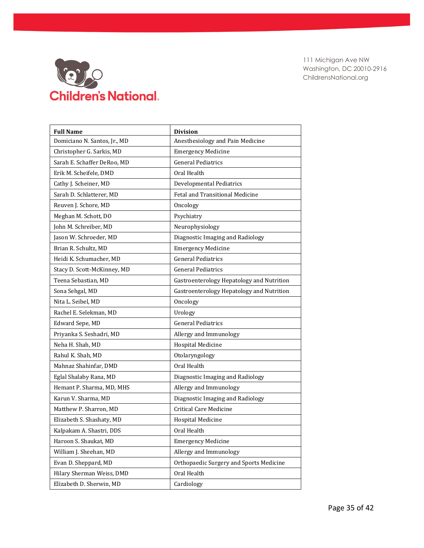

| <b>Full Name</b>             | <b>Division</b>                           |
|------------------------------|-------------------------------------------|
| Domiciano N. Santos, Jr., MD | Anesthesiology and Pain Medicine          |
| Christopher G. Sarkis, MD    | <b>Emergency Medicine</b>                 |
| Sarah E. Schaffer DeRoo, MD  | <b>General Pediatrics</b>                 |
| Erik M. Scheifele, DMD       | Oral Health                               |
| Cathy J. Scheiner, MD        | <b>Developmental Pediatrics</b>           |
| Sarah D. Schlatterer, MD     | Fetal and Transitional Medicine           |
| Reuven J. Schore, MD         | Oncology                                  |
| Meghan M. Schott, DO         | Psychiatry                                |
| John M. Schreiber, MD        | Neurophysiology                           |
| Jason W. Schroeder, MD       | Diagnostic Imaging and Radiology          |
| Brian R. Schultz, MD         | <b>Emergency Medicine</b>                 |
| Heidi K. Schumacher, MD      | <b>General Pediatrics</b>                 |
| Stacy D. Scott-McKinney, MD  | <b>General Pediatrics</b>                 |
| Teena Sebastian, MD          | Gastroenterology Hepatology and Nutrition |
| Sona Sehgal, MD              | Gastroenterology Hepatology and Nutrition |
| Nita L. Seibel, MD           | Oncology                                  |
| Rachel E. Selekman, MD       | Urology                                   |
| Edward Sepe, MD              | <b>General Pediatrics</b>                 |
| Priyanka S. Seshadri, MD     | Allergy and Immunology                    |
| Neha H. Shah, MD             | Hospital Medicine                         |
| Rahul K. Shah, MD            | Otolaryngology                            |
| Mahnaz Shahinfar, DMD        | Oral Health                               |
| Eglal Shalaby Rana, MD       | Diagnostic Imaging and Radiology          |
| Hemant P. Sharma, MD, MHS    | Allergy and Immunology                    |
| Karun V. Sharma, MD          | Diagnostic Imaging and Radiology          |
| Matthew P. Sharron, MD       | <b>Critical Care Medicine</b>             |
| Elizabeth S. Shashaty, MD    | <b>Hospital Medicine</b>                  |
| Kalpakam A. Shastri, DDS     | Oral Health                               |
| Haroon S. Shaukat, MD        | <b>Emergency Medicine</b>                 |
| William J. Sheehan, MD       | Allergy and Immunology                    |
| Evan D. Sheppard, MD         | Orthopaedic Surgery and Sports Medicine   |
| Hilary Sherman Weiss, DMD    | Oral Health                               |
| Elizabeth D. Sherwin, MD     | Cardiology                                |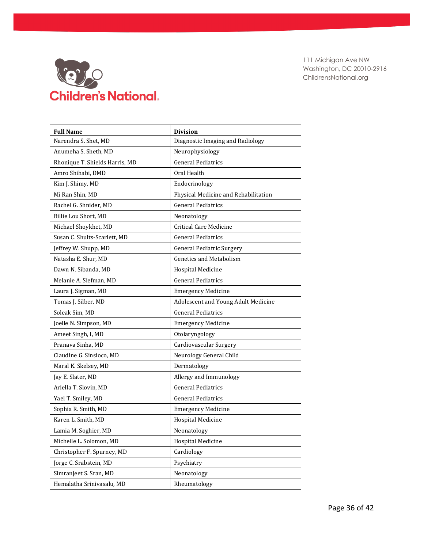

| <b>Full Name</b>               | <b>Division</b>                      |
|--------------------------------|--------------------------------------|
| Narendra S. Shet, MD           | Diagnostic Imaging and Radiology     |
| Anumeha S. Sheth, MD           | Neurophysiology                      |
| Rhonique T. Shields Harris, MD | <b>General Pediatrics</b>            |
| Amro Shihabi, DMD              | Oral Health                          |
| Kim J. Shimy, MD               | Endocrinology                        |
| Mi Ran Shin, MD                | Physical Medicine and Rehabilitation |
| Rachel G. Shnider, MD          | <b>General Pediatrics</b>            |
| Billie Lou Short, MD           | Neonatology                          |
| Michael Shoykhet, MD           | <b>Critical Care Medicine</b>        |
| Susan C. Shults-Scarlett, MD   | <b>General Pediatrics</b>            |
| Jeffrey W. Shupp, MD           | <b>General Pediatric Surgery</b>     |
| Natasha E. Shur, MD            | <b>Genetics and Metabolism</b>       |
| Dawn N. Sibanda, MD            | <b>Hospital Medicine</b>             |
| Melanie A. Siefman, MD         | <b>General Pediatrics</b>            |
| Laura J. Sigman, MD            | <b>Emergency Medicine</b>            |
| Tomas J. Silber, MD            | Adolescent and Young Adult Medicine  |
| Soleak Sim, MD                 | <b>General Pediatrics</b>            |
| Joelle N. Simpson, MD          | <b>Emergency Medicine</b>            |
| Ameet Singh, I, MD             | Otolaryngology                       |
| Pranava Sinha, MD              | Cardiovascular Surgery               |
| Claudine G. Sinsioco, MD       | Neurology General Child              |
| Maral K. Skelsey, MD           | Dermatology                          |
| Jay E. Slater, MD              | Allergy and Immunology               |
| Ariella T. Slovin, MD          | <b>General Pediatrics</b>            |
| Yael T. Smiley, MD             | <b>General Pediatrics</b>            |
| Sophia R. Smith, MD            | <b>Emergency Medicine</b>            |
| Karen L. Smith, MD             | <b>Hospital Medicine</b>             |
| Lamia M. Soghier, MD           | Neonatology                          |
| Michelle L. Solomon, MD        | <b>Hospital Medicine</b>             |
| Christopher F. Spurney, MD     | Cardiology                           |
| Jorge C. Srabstein, MD         | Psychiatry                           |
| Simranjeet S. Sran, MD         | Neonatology                          |
| Hemalatha Srinivasalu, MD      | Rheumatology                         |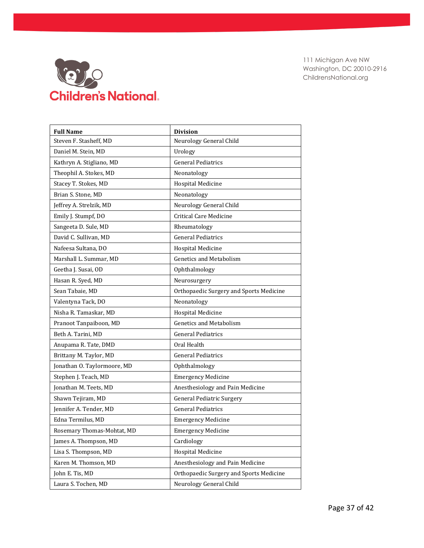

| <b>Full Name</b>            | <b>Division</b>                         |
|-----------------------------|-----------------------------------------|
| Steven F. Stasheff, MD      | Neurology General Child                 |
| Daniel M. Stein, MD         | Urology                                 |
| Kathryn A. Stigliano, MD    | <b>General Pediatrics</b>               |
| Theophil A. Stokes, MD      | Neonatology                             |
| Stacey T. Stokes, MD        | Hospital Medicine                       |
| Brian S. Stone, MD          | Neonatology                             |
| Jeffrey A. Strelzik, MD     | Neurology General Child                 |
| Emily J. Stumpf, DO         | Critical Care Medicine                  |
| Sangeeta D. Sule, MD        | Rheumatology                            |
| David C. Sullivan, MD       | <b>General Pediatrics</b>               |
| Nafeesa Sultana, DO         | Hospital Medicine                       |
| Marshall L. Summar, MD      | <b>Genetics and Metabolism</b>          |
| Geetha J. Susai, OD         | Ophthalmology                           |
| Hasan R. Syed, MD           | Neurosurgery                            |
| Sean Tabaie, MD             | Orthopaedic Surgery and Sports Medicine |
| Valentyna Tack, DO          | Neonatology                             |
| Nisha R. Tamaskar, MD       | Hospital Medicine                       |
| Pranoot Tanpaiboon, MD      | <b>Genetics and Metabolism</b>          |
| Beth A. Tarini, MD          | <b>General Pediatrics</b>               |
| Anupama R. Tate, DMD        | Oral Health                             |
| Brittany M. Taylor, MD      | <b>General Pediatrics</b>               |
| Jonathan O. Taylormoore, MD | Ophthalmology                           |
| Stephen J. Teach, MD        | <b>Emergency Medicine</b>               |
| Jonathan M. Teets, MD       | Anesthesiology and Pain Medicine        |
| Shawn Tejiram, MD           | <b>General Pediatric Surgery</b>        |
| Jennifer A. Tender, MD      | <b>General Pediatrics</b>               |
| Edna Termilus, MD           | <b>Emergency Medicine</b>               |
| Rosemary Thomas-Mohtat, MD  | <b>Emergency Medicine</b>               |
| James A. Thompson, MD       | Cardiology                              |
| Lisa S. Thompson, MD        | <b>Hospital Medicine</b>                |
| Karen M. Thomson, MD        | Anesthesiology and Pain Medicine        |
| John E. Tis, MD             | Orthopaedic Surgery and Sports Medicine |
| Laura S. Tochen, MD         | Neurology General Child                 |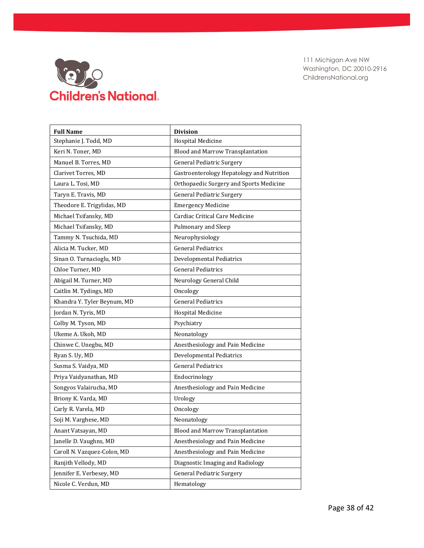

| <b>Full Name</b>            | <b>Division</b>                           |
|-----------------------------|-------------------------------------------|
| Stephanie J. Todd, MD       | <b>Hospital Medicine</b>                  |
| Keri N. Toner, MD           | <b>Blood and Marrow Transplantation</b>   |
| Manuel B. Torres, MD        | General Pediatric Surgery                 |
| Clarivet Torres, MD         | Gastroenterology Hepatology and Nutrition |
| Laura L. Tosi, MD           | Orthopaedic Surgery and Sports Medicine   |
| Taryn E. Travis, MD         | <b>General Pediatric Surgery</b>          |
| Theodore E. Trigylidas, MD  | <b>Emergency Medicine</b>                 |
| Michael Tsifansky, MD       | Cardiac Critical Care Medicine            |
| Michael Tsifansky, MD       | Pulmonary and Sleep                       |
| Tammy N. Tsuchida, MD       | Neurophysiology                           |
| Alicia M. Tucker, MD        | <b>General Pediatrics</b>                 |
| Sinan O. Turnacioglu, MD    | Developmental Pediatrics                  |
| Chloe Turner, MD            | <b>General Pediatrics</b>                 |
| Abigail M. Turner, MD       | Neurology General Child                   |
| Caitlin M. Tydings, MD      | Oncology                                  |
| Khandra Y. Tyler Beynum, MD | <b>General Pediatrics</b>                 |
| Jordan N. Tyris, MD         | <b>Hospital Medicine</b>                  |
| Colby M. Tyson, MD          | Psychiatry                                |
| Ukeme A. Ukoh, MD           | Neonatology                               |
| Chinwe C. Unegbu, MD        | Anesthesiology and Pain Medicine          |
| Ryan S. Uy, MD              | <b>Developmental Pediatrics</b>           |
| Susma S. Vaidya, MD         | <b>General Pediatrics</b>                 |
| Priya Vaidyanathan, MD      | Endocrinology                             |
| Songyos Valairucha, MD      | Anesthesiology and Pain Medicine          |
| Briony K. Varda, MD         | Urology                                   |
| Carly R. Varela, MD         | Oncology                                  |
| Soji M. Varghese, MD        | Neonatology                               |
| Anant Vatsayan, MD          | Blood and Marrow Transplantation          |
| Janelle D. Vaughns, MD      | Anesthesiology and Pain Medicine          |
| Caroll N. Vazquez-Colon, MD | Anesthesiology and Pain Medicine          |
| Ranjith Vellody, MD         | Diagnostic Imaging and Radiology          |
| Jennifer E. Verbesey, MD    | <b>General Pediatric Surgery</b>          |
| Nicole C. Verdun, MD        | Hematology                                |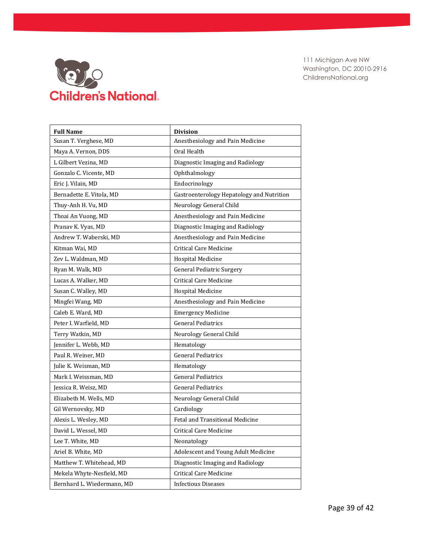

| <b>Full Name</b>           | <b>Division</b>                           |
|----------------------------|-------------------------------------------|
| Susan T. Verghese, MD      | Anesthesiology and Pain Medicine          |
| Maya A. Vernon, DDS        | Oral Health                               |
| L Gilbert Vezina, MD       | Diagnostic Imaging and Radiology          |
| Gonzalo C. Vicente, MD     | Ophthalmology                             |
| Eric J. Vilain, MD         | Endocrinology                             |
| Bernadette E. Vitola, MD   | Gastroenterology Hepatology and Nutrition |
| Thuy-Anh H. Vu, MD         | Neurology General Child                   |
| Thoai An Vuong, MD         | Anesthesiology and Pain Medicine          |
| Pranav K. Vyas, MD         | Diagnostic Imaging and Radiology          |
| Andrew T. Waberski, MD     | Anesthesiology and Pain Medicine          |
| Kitman Wai, MD             | <b>Critical Care Medicine</b>             |
| Zev L. Waldman, MD         | <b>Hospital Medicine</b>                  |
| Ryan M. Walk, MD           | <b>General Pediatric Surgery</b>          |
| Lucas A. Walker, MD        | <b>Critical Care Medicine</b>             |
| Susan C. Walley, MD        | <b>Hospital Medicine</b>                  |
| Mingfei Wang, MD           | Anesthesiology and Pain Medicine          |
| Caleb E. Ward, MD          | <b>Emergency Medicine</b>                 |
| Peter I. Warfield, MD      | <b>General Pediatrics</b>                 |
| Terry Watkin, MD           | Neurology General Child                   |
| Jennifer L. Webb, MD       | Hematology                                |
| Paul R. Weiner, MD         | <b>General Pediatrics</b>                 |
| Julie K. Weisman, MD       | Hematology                                |
| Mark I. Weissman, MD       | <b>General Pediatrics</b>                 |
| Jessica R. Weisz, MD       | <b>General Pediatrics</b>                 |
| Elizabeth M. Wells, MD     | Neurology General Child                   |
| Gil Wernovsky, MD          | Cardiology                                |
| Alexis L. Wesley, MD       | Fetal and Transitional Medicine           |
| David L. Wessel, MD        | <b>Critical Care Medicine</b>             |
| Lee T. White, MD           | Neonatology                               |
| Ariel B. White, MD         | Adolescent and Young Adult Medicine       |
| Matthew T. Whitehead, MD   | Diagnostic Imaging and Radiology          |
| Mekela Whyte-Nesfield, MD  | <b>Critical Care Medicine</b>             |
| Bernhard L. Wiedermann, MD | <b>Infectious Diseases</b>                |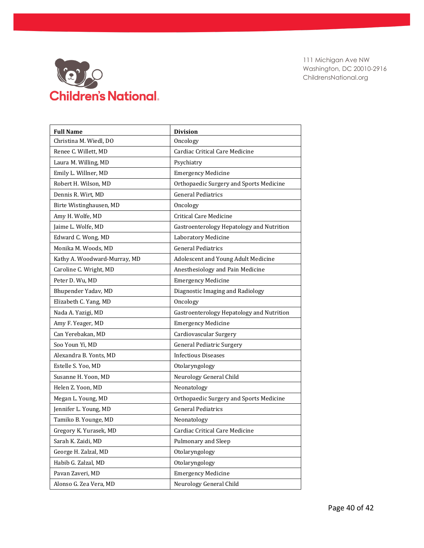

| <b>Full Name</b>             | <b>Division</b>                           |
|------------------------------|-------------------------------------------|
| Christina M. Wiedl, DO       | Oncology                                  |
| Renee C. Willett, MD         | Cardiac Critical Care Medicine            |
| Laura M. Willing, MD         | Psychiatry                                |
| Emily L. Willner, MD         | <b>Emergency Medicine</b>                 |
| Robert H. Wilson, MD         | Orthopaedic Surgery and Sports Medicine   |
| Dennis R. Wirt, MD           | <b>General Pediatrics</b>                 |
| Birte Wistinghausen, MD      | Oncology                                  |
| Amy H. Wolfe, MD             | Critical Care Medicine                    |
| Jaime L. Wolfe, MD           | Gastroenterology Hepatology and Nutrition |
| Edward C. Wong, MD           | Laboratory Medicine                       |
| Monika M. Woods, MD          | <b>General Pediatrics</b>                 |
| Kathy A. Woodward-Murray, MD | Adolescent and Young Adult Medicine       |
| Caroline C. Wright, MD       | Anesthesiology and Pain Medicine          |
| Peter D. Wu, MD              | <b>Emergency Medicine</b>                 |
| Bhupender Yadav, MD          | Diagnostic Imaging and Radiology          |
| Elizabeth C. Yang, MD        | Oncology                                  |
| Nada A. Yazigi, MD           | Gastroenterology Hepatology and Nutrition |
| Amy F. Yeager, MD            | <b>Emergency Medicine</b>                 |
| Can Yerebakan, MD            | Cardiovascular Surgery                    |
| Soo Youn Yi, MD              | <b>General Pediatric Surgery</b>          |
| Alexandra B. Yonts, MD       | <b>Infectious Diseases</b>                |
| Estelle S. Yoo, MD           | Otolaryngology                            |
| Susanne H. Yoon, MD          | Neurology General Child                   |
| Helen Z. Yoon, MD            | Neonatology                               |
| Megan L. Young, MD           | Orthopaedic Surgery and Sports Medicine   |
| Jennifer L. Young, MD        | <b>General Pediatrics</b>                 |
| Tamiko B. Younge, MD         | Neonatology                               |
| Gregory K. Yurasek, MD       | Cardiac Critical Care Medicine            |
| Sarah K. Zaidi, MD           | Pulmonary and Sleep                       |
| George H. Zalzal, MD         | Otolaryngology                            |
| Habib G. Zalzal, MD          | Otolaryngology                            |
| Pavan Zaveri, MD             | <b>Emergency Medicine</b>                 |
| Alonso G. Zea Vera, MD       | Neurology General Child                   |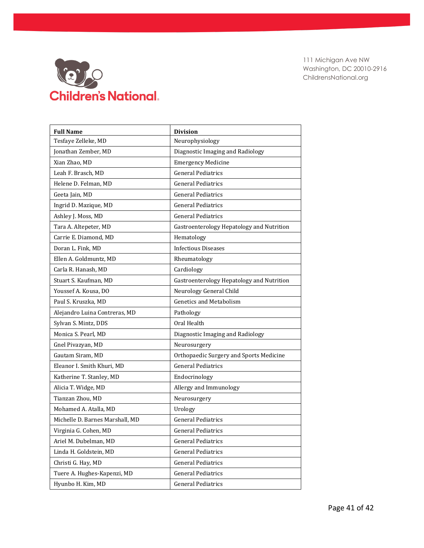

| <b>Full Name</b>                | <b>Division</b>                           |
|---------------------------------|-------------------------------------------|
| Tesfaye Zelleke, MD             | Neurophysiology                           |
| Jonathan Zember, MD             | Diagnostic Imaging and Radiology          |
| Xian Zhao, MD                   | <b>Emergency Medicine</b>                 |
| Leah F. Brasch, MD              | <b>General Pediatrics</b>                 |
| Helene D. Felman, MD            | <b>General Pediatrics</b>                 |
| Geeta Jain, MD                  | <b>General Pediatrics</b>                 |
| Ingrid D. Mazique, MD           | <b>General Pediatrics</b>                 |
| Ashley J. Moss, MD              | <b>General Pediatrics</b>                 |
| Tara A. Altepeter, MD           | Gastroenterology Hepatology and Nutrition |
| Carrie E. Diamond, MD           | Hematology                                |
| Doran L. Fink, MD               | <b>Infectious Diseases</b>                |
| Ellen A. Goldmuntz, MD          | Rheumatology                              |
| Carla R. Hanash, MD             | Cardiology                                |
| Stuart S. Kaufman, MD           | Gastroenterology Hepatology and Nutrition |
| Youssef A. Kousa, DO            | Neurology General Child                   |
| Paul S. Kruszka, MD             | <b>Genetics and Metabolism</b>            |
| Alejandro Luina Contreras, MD   | Pathology                                 |
| Sylvan S. Mintz, DDS            | Oral Health                               |
| Monica S. Pearl, MD             | Diagnostic Imaging and Radiology          |
| Gnel Pivazyan, MD               | Neurosurgery                              |
| Gautam Siram, MD                | Orthopaedic Surgery and Sports Medicine   |
| Eleanor I. Smith Khuri, MD      | <b>General Pediatrics</b>                 |
| Katherine T. Stanley, MD        | Endocrinology                             |
| Alicia T. Widge, MD             | Allergy and Immunology                    |
| Tianzan Zhou, MD                | Neurosurgery                              |
| Mohamed A. Atalla, MD           | Urology                                   |
| Michelle D. Barnes Marshall, MD | <b>General Pediatrics</b>                 |
| Virginia G. Cohen, MD           | <b>General Pediatrics</b>                 |
| Ariel M. Dubelman, MD           | <b>General Pediatrics</b>                 |
| Linda H. Goldstein, MD          | <b>General Pediatrics</b>                 |
| Christi G. Hay, MD              | <b>General Pediatrics</b>                 |
| Tuere A. Hughes-Kapenzi, MD     | General Pediatrics                        |
| Hyunbo H. Kim, MD               | <b>General Pediatrics</b>                 |